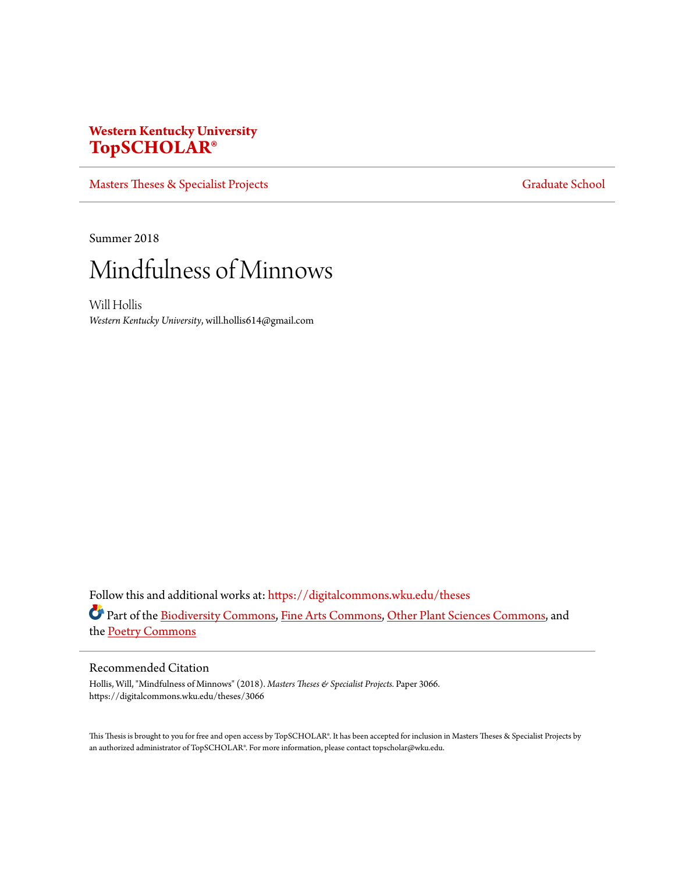# **Western Kentucky University [TopSCHOLAR®](https://digitalcommons.wku.edu?utm_source=digitalcommons.wku.edu%2Ftheses%2F3066&utm_medium=PDF&utm_campaign=PDFCoverPages)**

[Masters Theses & Specialist Projects](https://digitalcommons.wku.edu/theses?utm_source=digitalcommons.wku.edu%2Ftheses%2F3066&utm_medium=PDF&utm_campaign=PDFCoverPages) [Graduate School](https://digitalcommons.wku.edu/Graduate?utm_source=digitalcommons.wku.edu%2Ftheses%2F3066&utm_medium=PDF&utm_campaign=PDFCoverPages) Graduate School

Summer 2018

# Mindfulness of Minnows

Will Hollis *Western Kentucky University*, will.hollis614@gmail.com

Follow this and additional works at: [https://digitalcommons.wku.edu/theses](https://digitalcommons.wku.edu/theses?utm_source=digitalcommons.wku.edu%2Ftheses%2F3066&utm_medium=PDF&utm_campaign=PDFCoverPages) Part of the [Biodiversity Commons](http://network.bepress.com/hgg/discipline/1127?utm_source=digitalcommons.wku.edu%2Ftheses%2F3066&utm_medium=PDF&utm_campaign=PDFCoverPages), [Fine Arts Commons](http://network.bepress.com/hgg/discipline/1141?utm_source=digitalcommons.wku.edu%2Ftheses%2F3066&utm_medium=PDF&utm_campaign=PDFCoverPages), [Other Plant Sciences Commons,](http://network.bepress.com/hgg/discipline/109?utm_source=digitalcommons.wku.edu%2Ftheses%2F3066&utm_medium=PDF&utm_campaign=PDFCoverPages) and the [Poetry Commons](http://network.bepress.com/hgg/discipline/1153?utm_source=digitalcommons.wku.edu%2Ftheses%2F3066&utm_medium=PDF&utm_campaign=PDFCoverPages)

#### Recommended Citation

Hollis, Will, "Mindfulness of Minnows" (2018). *Masters Theses & Specialist Projects.* Paper 3066. https://digitalcommons.wku.edu/theses/3066

This Thesis is brought to you for free and open access by TopSCHOLAR®. It has been accepted for inclusion in Masters Theses & Specialist Projects by an authorized administrator of TopSCHOLAR®. For more information, please contact topscholar@wku.edu.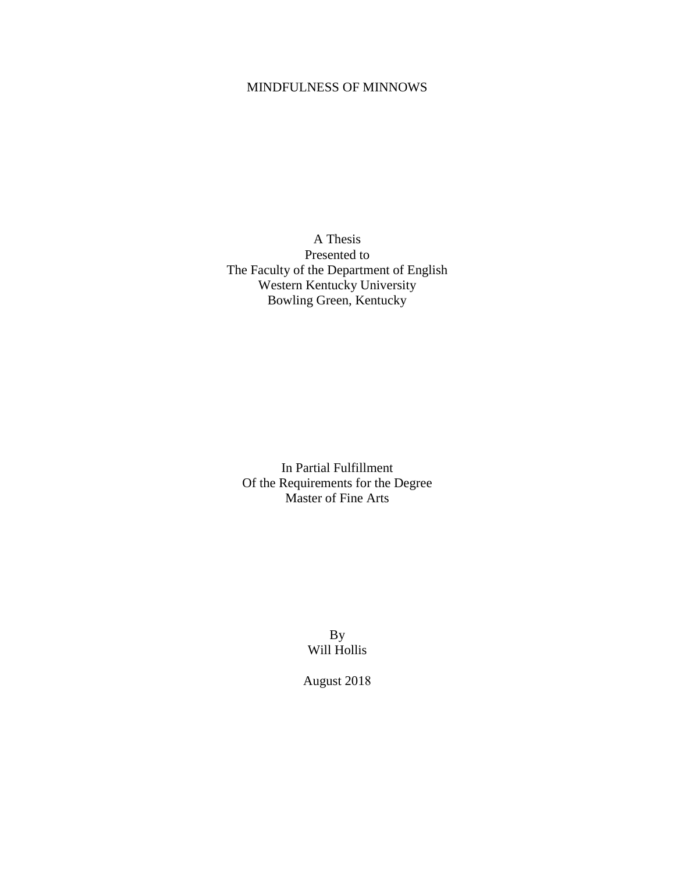# MINDFULNESS OF MINNOWS

A Thesis Presented to The Faculty of the Department of English Western Kentucky University Bowling Green, Kentucky

In Partial Fulfillment Of the Requirements for the Degree Master of Fine Arts

> By Will Hollis

August 2018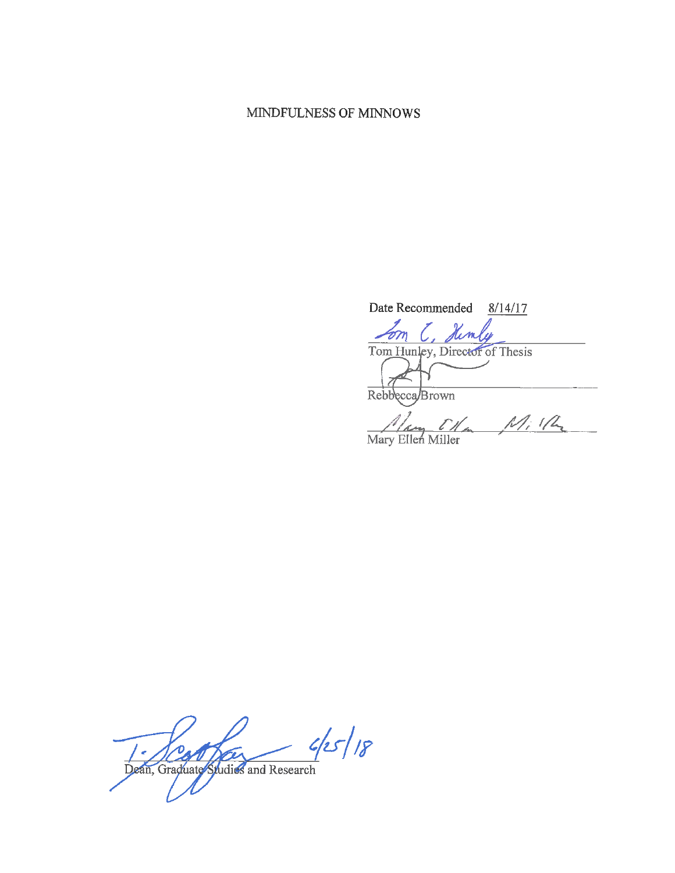## MINDFULNESS OF MINNOWS

Date Recommended 8/14/17 <u>Lom</u> C, Kimly<br>Tom Hunley, Director of Thesis Rebbecca/Brown

Mary Ellen Miller Mille

 $45/18$ Dean, Graduate Spudies and Research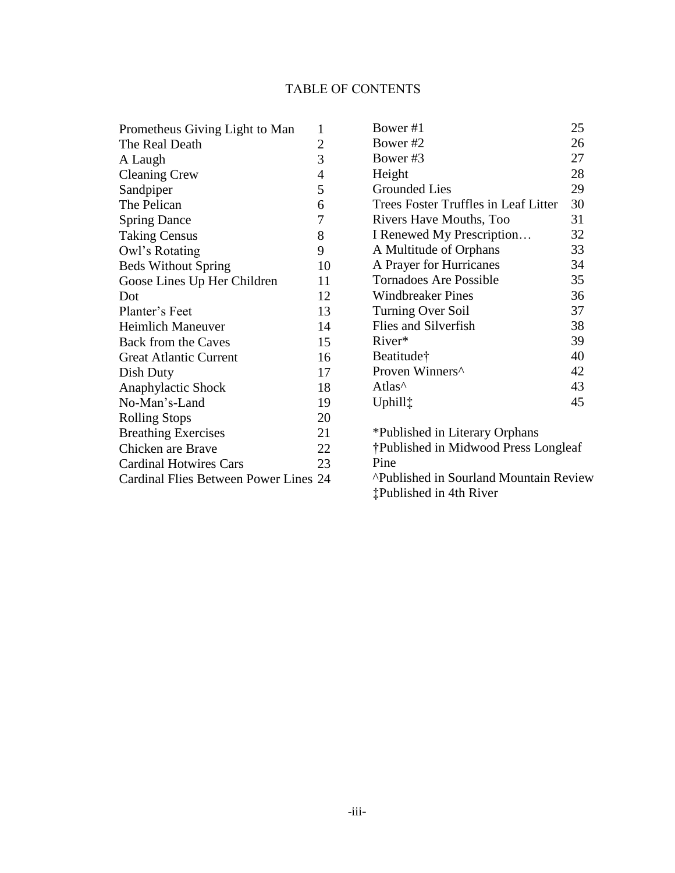# TABLE OF CONTENTS

| Prometheus Giving Light to Man        | 1                |
|---------------------------------------|------------------|
| The Real Death                        | $\overline{c}$   |
| A Laugh                               | 3                |
| <b>Cleaning Crew</b>                  | $\overline{4}$   |
| Sandpiper                             | 5                |
| The Pelican                           | 6                |
| <b>Spring Dance</b>                   | $\boldsymbol{7}$ |
| <b>Taking Census</b>                  | 8                |
| Owl's Rotating                        | 9                |
| <b>Beds Without Spring</b>            | 10               |
| Goose Lines Up Her Children           | 11               |
| Dot                                   | 12               |
| Planter's Feet                        | 13               |
| <b>Heimlich Maneuver</b>              | 14               |
| <b>Back from the Caves</b>            | 15               |
| <b>Great Atlantic Current</b>         | 16               |
| Dish Duty                             | 17               |
| Anaphylactic Shock                    | 18               |
| No-Man's-Land                         | 19               |
| <b>Rolling Stops</b>                  | 20               |
| <b>Breathing Exercises</b>            | 21               |
| Chicken are Brave                     | 22               |
| <b>Cardinal Hotwires Cars</b>         | 23               |
| Cardinal Flies Between Power Lines 24 |                  |

| Bower #1                                      | 25 |  |
|-----------------------------------------------|----|--|
| Bower#2                                       | 26 |  |
| Bower#3                                       | 27 |  |
| Height                                        | 28 |  |
| <b>Grounded Lies</b>                          | 29 |  |
| Trees Foster Truffles in Leaf Litter          | 30 |  |
| Rivers Have Mouths, Too                       | 31 |  |
| I Renewed My Prescription                     | 32 |  |
| A Multitude of Orphans                        | 33 |  |
| A Prayer for Hurricanes                       | 34 |  |
| <b>Tornadoes Are Possible</b>                 | 35 |  |
| <b>Windbreaker Pines</b>                      | 36 |  |
| <b>Turning Over Soil</b>                      | 37 |  |
| Flies and Silverfish                          | 38 |  |
| River*                                        | 39 |  |
| Beatitude†                                    | 40 |  |
| Proven Winners^                               | 42 |  |
| Atlas <sup>^</sup>                            | 43 |  |
| Uphill <sup>†</sup>                           | 45 |  |
|                                               |    |  |
| *Published in Literary Orphans                |    |  |
| †Published in Midwood Press Longleaf          |    |  |
| Pine                                          |    |  |
| <b>^Published in Sourland Mountain Review</b> |    |  |

‡Published in 4th River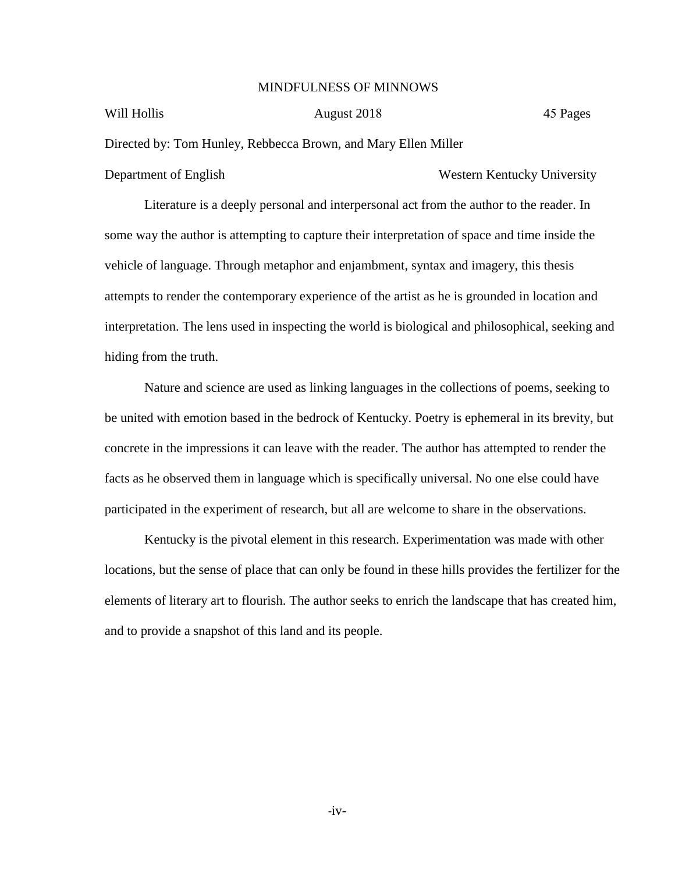#### MINDFULNESS OF MINNOWS

#### Will Hollis

August 2018 45 Pages

Directed by: Tom Hunley, Rebbecca Brown, and Mary Ellen Miller

Department of English Western Kentucky University

Literature is a deeply personal and interpersonal act from the author to the reader. In some way the author is attempting to capture their interpretation of space and time inside the vehicle of language. Through metaphor and enjambment, syntax and imagery, this thesis attempts to render the contemporary experience of the artist as he is grounded in location and interpretation. The lens used in inspecting the world is biological and philosophical, seeking and hiding from the truth.

Nature and science are used as linking languages in the collections of poems, seeking to be united with emotion based in the bedrock of Kentucky. Poetry is ephemeral in its brevity, but concrete in the impressions it can leave with the reader. The author has attempted to render the facts as he observed them in language which is specifically universal. No one else could have participated in the experiment of research, but all are welcome to share in the observations.

Kentucky is the pivotal element in this research. Experimentation was made with other locations, but the sense of place that can only be found in these hills provides the fertilizer for the elements of literary art to flourish. The author seeks to enrich the landscape that has created him, and to provide a snapshot of this land and its people.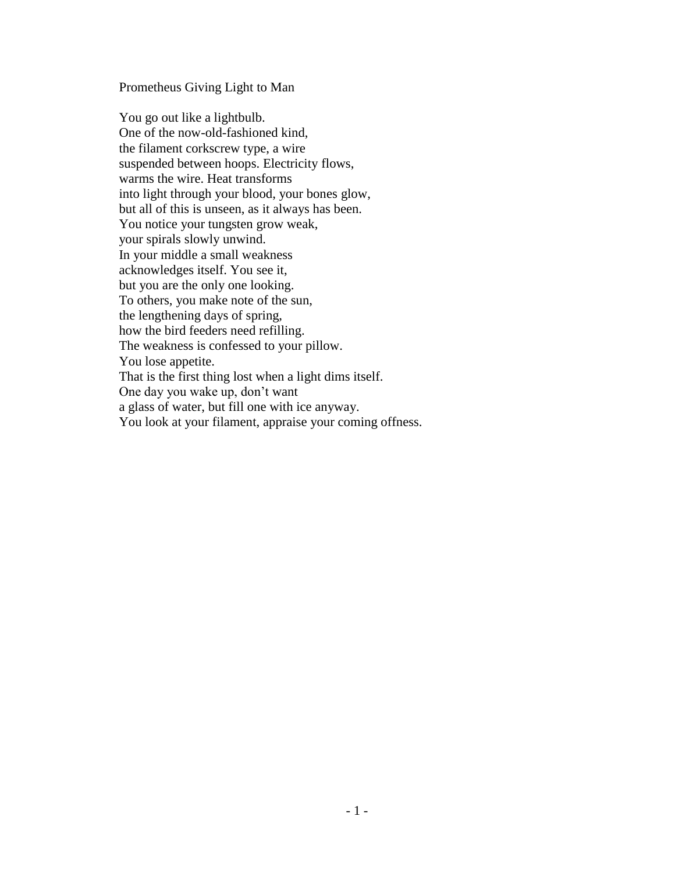#### Prometheus Giving Light to Man

You go out like a lightbulb. One of the now-old-fashioned kind, the filament corkscrew type, a wire suspended between hoops. Electricity flows, warms the wire. Heat transforms into light through your blood, your bones glow, but all of this is unseen, as it always has been. You notice your tungsten grow weak, your spirals slowly unwind. In your middle a small weakness acknowledges itself. You see it, but you are the only one looking. To others, you make note of the sun, the lengthening days of spring, how the bird feeders need refilling. The weakness is confessed to your pillow. You lose appetite. That is the first thing lost when a light dims itself. One day you wake up, don't want a glass of water, but fill one with ice anyway. You look at your filament, appraise your coming offness.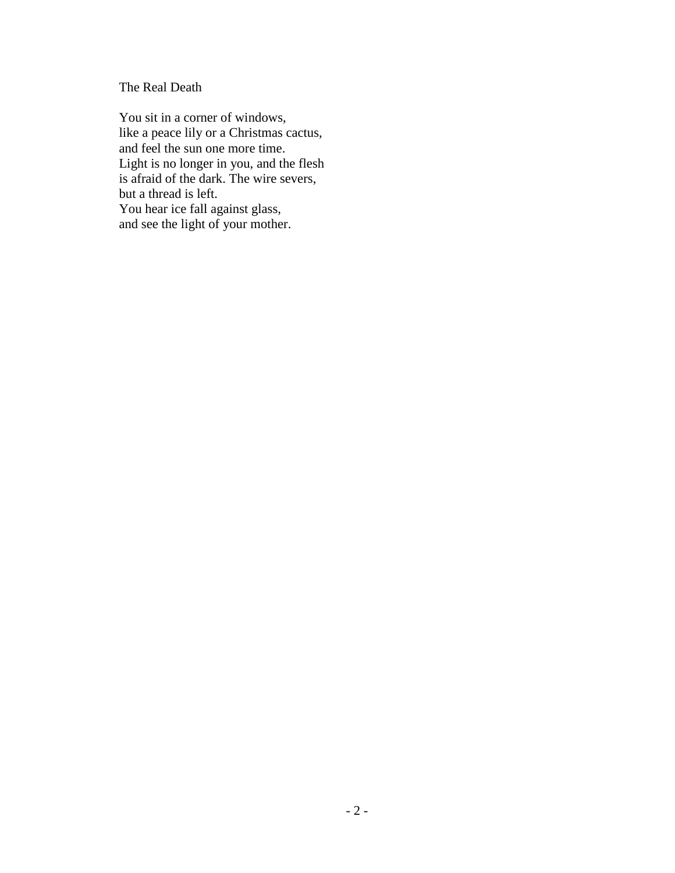The Real Death

You sit in a corner of windows, like a peace lily or a Christmas cactus, and feel the sun one more time. Light is no longer in you, and the flesh is afraid of the dark. The wire severs, but a thread is left. You hear ice fall against glass, and see the light of your mother.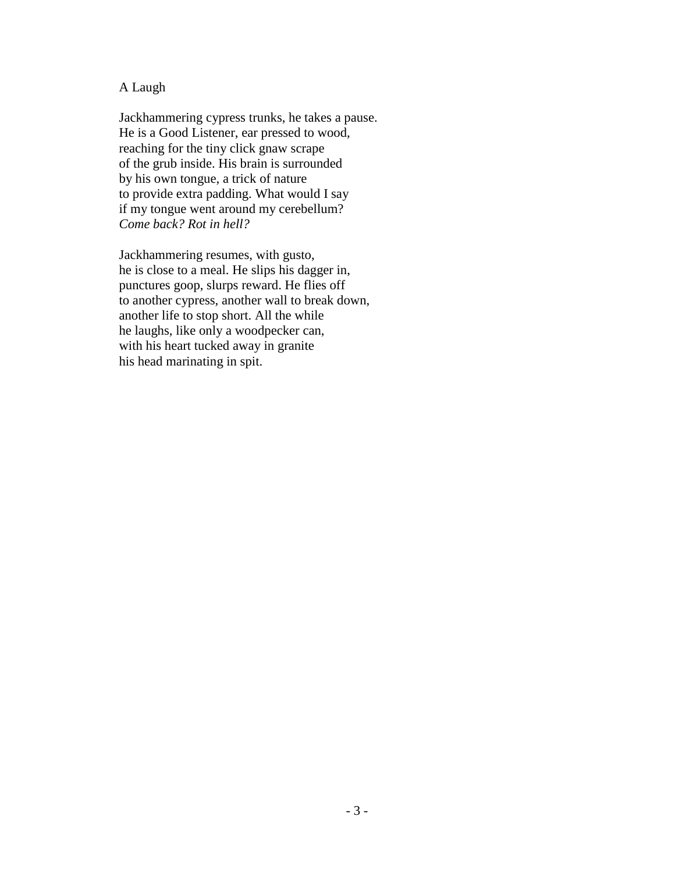#### A Laugh

Jackhammering cypress trunks, he takes a pause. He is a Good Listener, ear pressed to wood, reaching for the tiny click gnaw scrape of the grub inside. His brain is surrounded by his own tongue, a trick of nature to provide extra padding. What would I say if my tongue went around my cerebellum? *Come back? Rot in hell?*

Jackhammering resumes, with gusto, he is close to a meal. He slips his dagger in, punctures goop, slurps reward. He flies off to another cypress, another wall to break down, another life to stop short. All the while he laughs, like only a woodpecker can, with his heart tucked away in granite his head marinating in spit.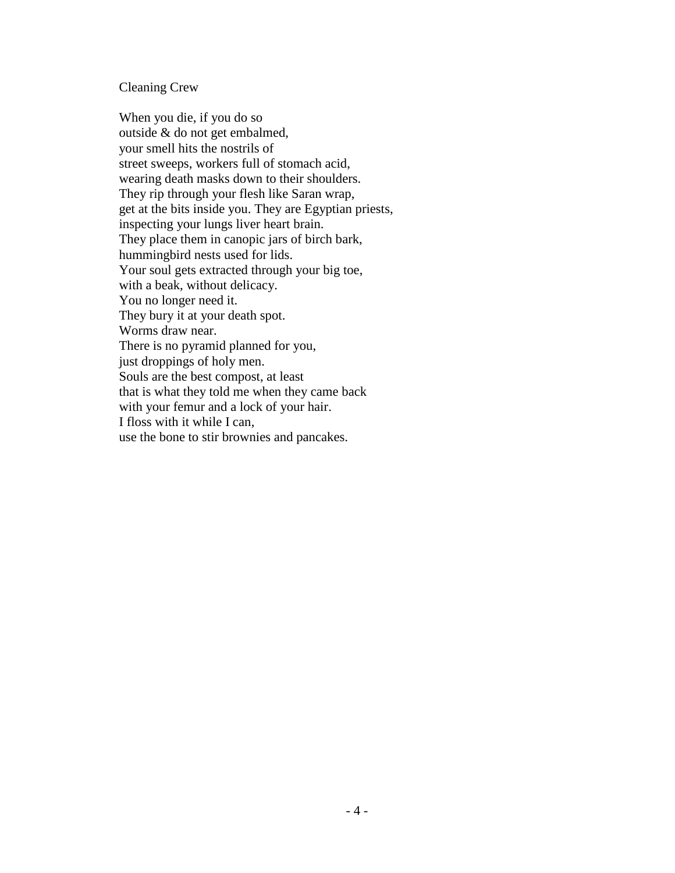#### Cleaning Crew

When you die, if you do so outside & do not get embalmed, your smell hits the nostrils of street sweeps, workers full of stomach acid, wearing death masks down to their shoulders. They rip through your flesh like Saran wrap, get at the bits inside you. They are Egyptian priests, inspecting your lungs liver heart brain. They place them in canopic jars of birch bark, hummingbird nests used for lids. Your soul gets extracted through your big toe, with a beak, without delicacy. You no longer need it. They bury it at your death spot. Worms draw near. There is no pyramid planned for you, just droppings of holy men. Souls are the best compost, at least that is what they told me when they came back with your femur and a lock of your hair. I floss with it while I can, use the bone to stir brownies and pancakes.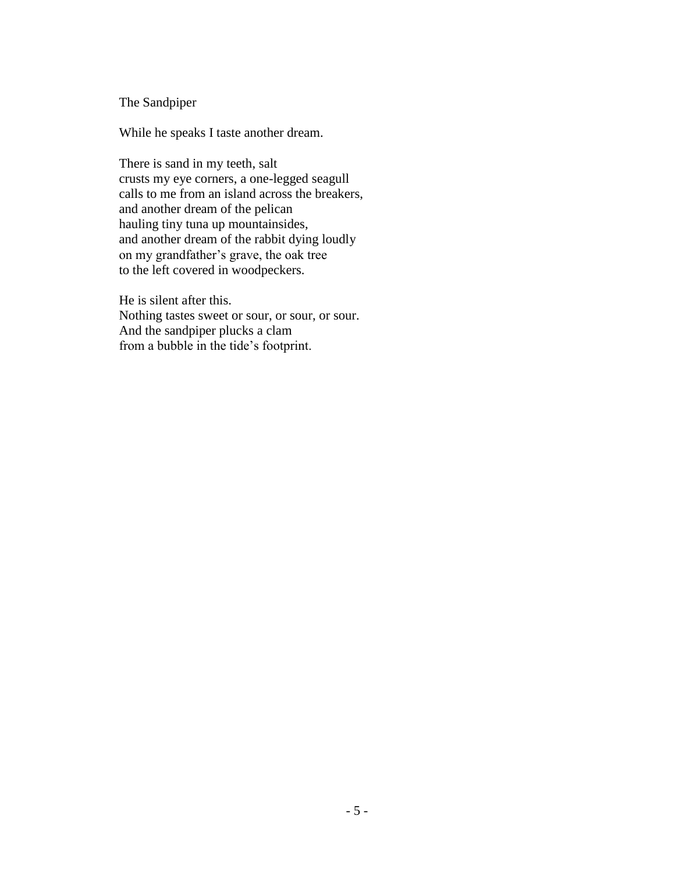#### The Sandpiper

While he speaks I taste another dream.

There is sand in my teeth, salt crusts my eye corners, a one-legged seagull calls to me from an island across the breakers, and another dream of the pelican hauling tiny tuna up mountainsides, and another dream of the rabbit dying loudly on my grandfather's grave, the oak tree to the left covered in woodpeckers.

He is silent after this. Nothing tastes sweet or sour, or sour, or sour. And the sandpiper plucks a clam from a bubble in the tide's footprint.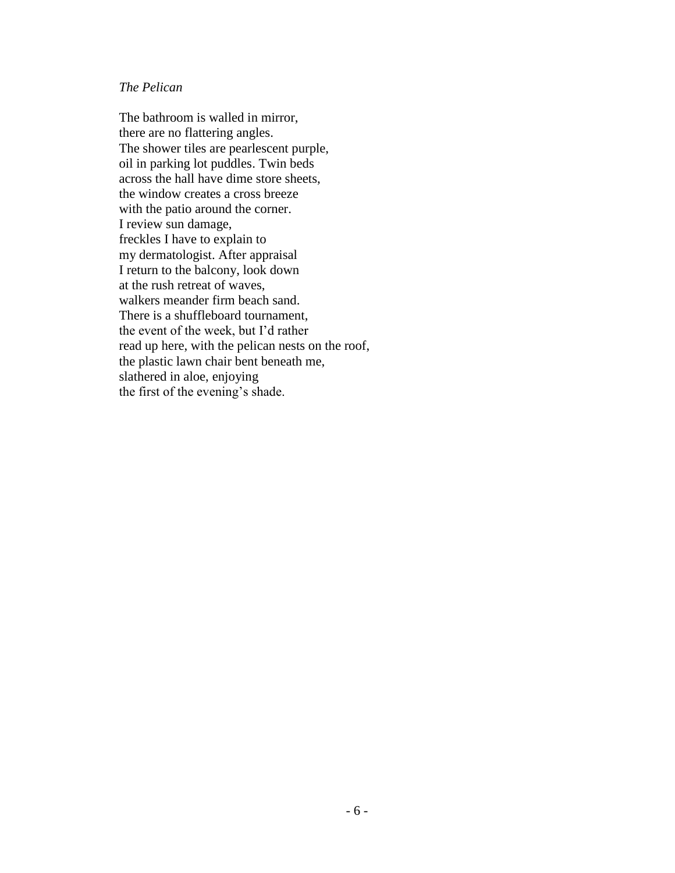## *The Pelican*

The bathroom is walled in mirror, there are no flattering angles. The shower tiles are pearlescent purple, oil in parking lot puddles. Twin beds across the hall have dime store sheets, the window creates a cross breeze with the patio around the corner. I review sun damage, freckles I have to explain to my dermatologist. After appraisal I return to the balcony, look down at the rush retreat of waves, walkers meander firm beach sand. There is a shuffleboard tournament, the event of the week, but I'd rather read up here, with the pelican nests on the roof, the plastic lawn chair bent beneath me, slathered in aloe, enjoying the first of the evening's shade.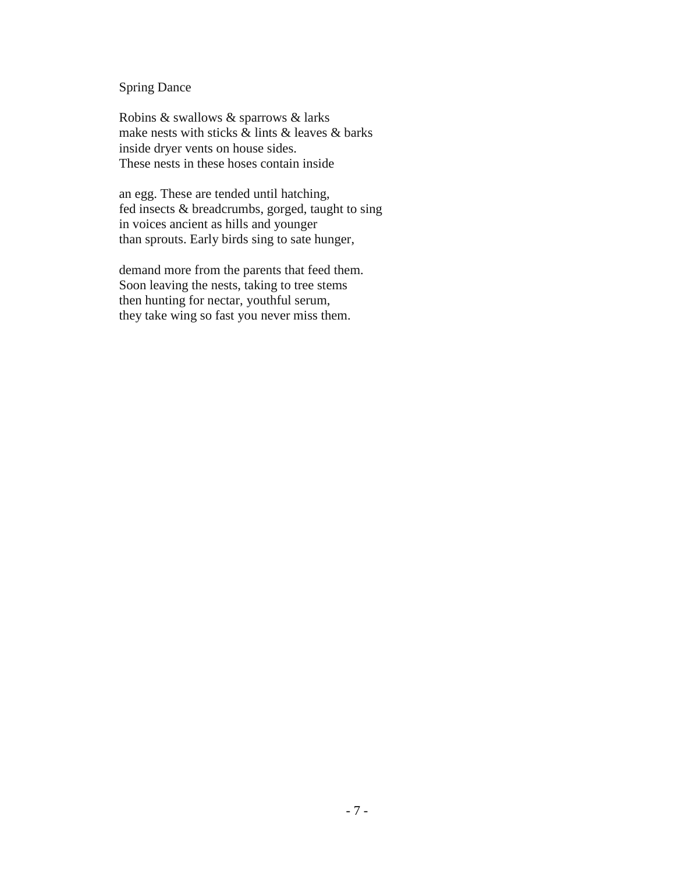# Spring Dance

Robins & swallows & sparrows & larks make nests with sticks & lints & leaves & barks inside dryer vents on house sides. These nests in these hoses contain inside

an egg. These are tended until hatching, fed insects & breadcrumbs, gorged, taught to sing in voices ancient as hills and younger than sprouts. Early birds sing to sate hunger,

demand more from the parents that feed them. Soon leaving the nests, taking to tree stems then hunting for nectar, youthful serum, they take wing so fast you never miss them.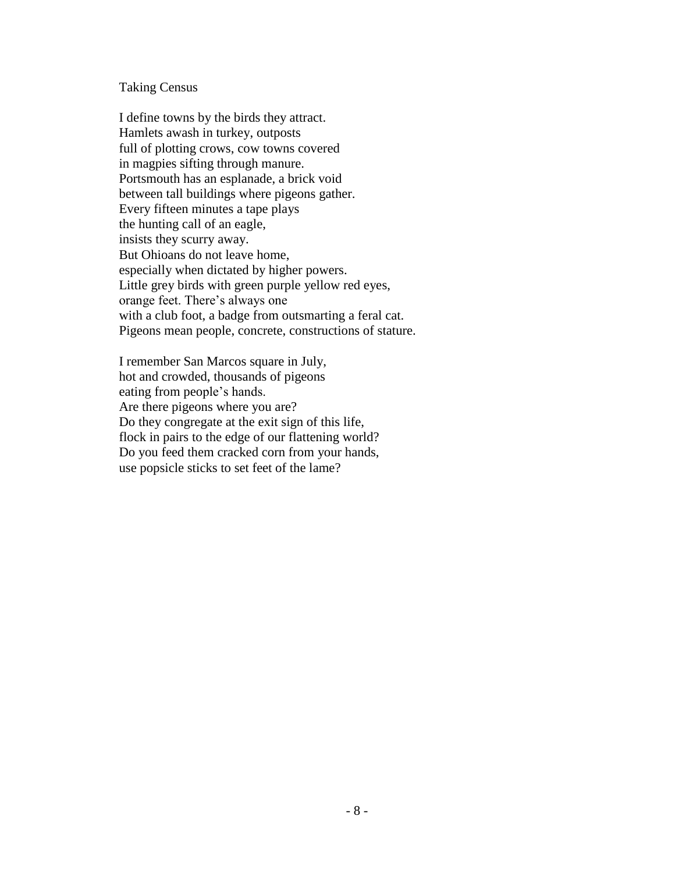#### Taking Census

I define towns by the birds they attract. Hamlets awash in turkey, outposts full of plotting crows, cow towns covered in magpies sifting through manure. Portsmouth has an esplanade, a brick void between tall buildings where pigeons gather. Every fifteen minutes a tape plays the hunting call of an eagle, insists they scurry away. But Ohioans do not leave home, especially when dictated by higher powers. Little grey birds with green purple yellow red eyes, orange feet. There's always one with a club foot, a badge from outsmarting a feral cat. Pigeons mean people, concrete, constructions of stature.

I remember San Marcos square in July, hot and crowded, thousands of pigeons eating from people's hands. Are there pigeons where you are? Do they congregate at the exit sign of this life, flock in pairs to the edge of our flattening world? Do you feed them cracked corn from your hands, use popsicle sticks to set feet of the lame?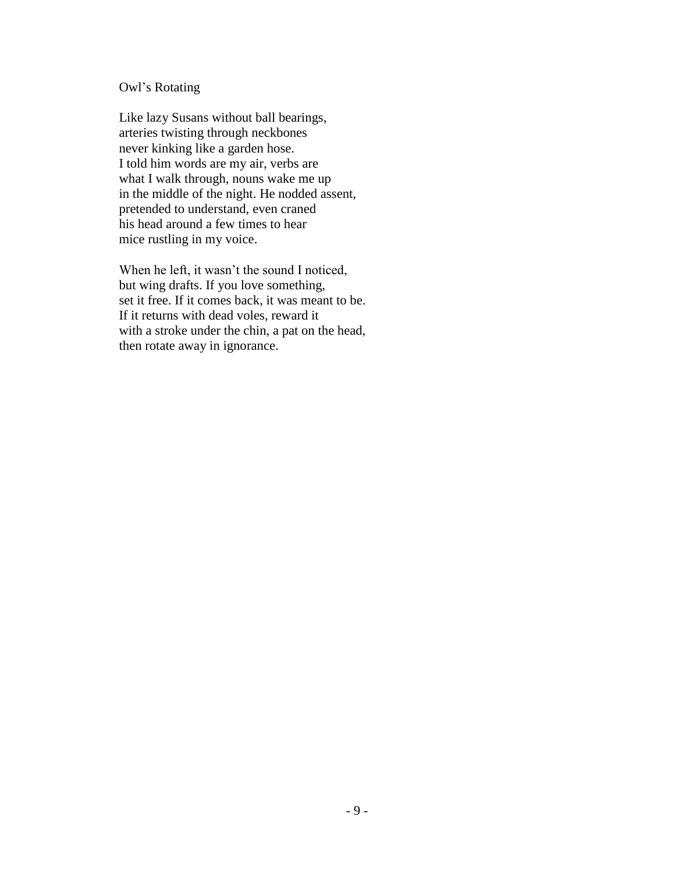#### Owl's Rotating

Like lazy Susans without ball bearings, arteries twisting through neckbones never kinking like a garden hose. I told him words are my air, verbs are what I walk through, nouns wake me up in the middle of the night. He nodded assent, pretended to understand, even craned his head around a few times to hear mice rustling in my voice.

When he left, it wasn't the sound I noticed, but wing drafts. If you love something, set it free. If it comes back, it was meant to be. If it returns with dead voles, reward it with a stroke under the chin, a pat on the head, then rotate away in ignorance.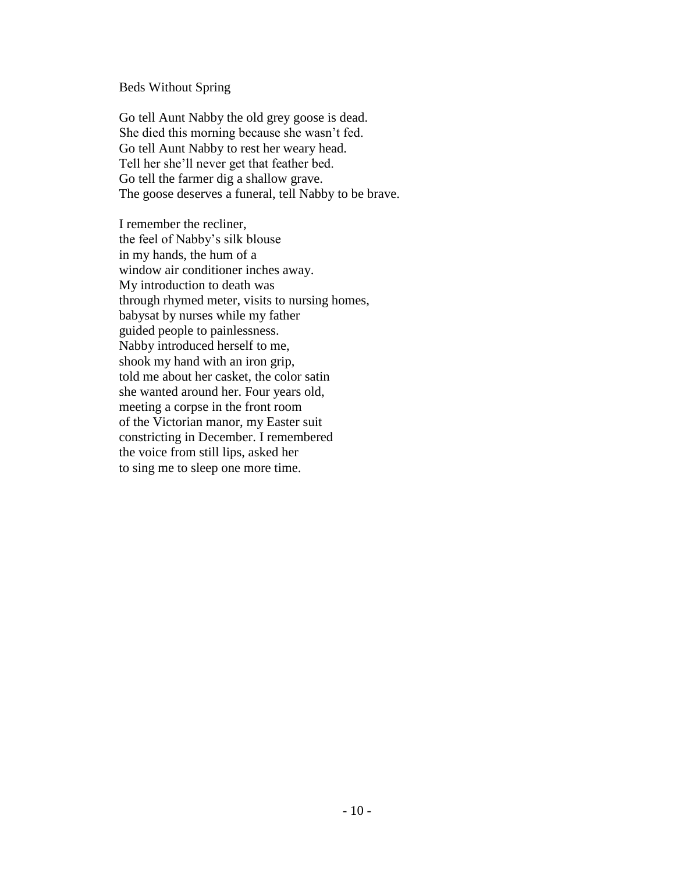## Beds Without Spring

Go tell Aunt Nabby the old grey goose is dead. She died this morning because she wasn't fed. Go tell Aunt Nabby to rest her weary head. Tell her she'll never get that feather bed. Go tell the farmer dig a shallow grave. The goose deserves a funeral, tell Nabby to be brave.

I remember the recliner, the feel of Nabby's silk blouse in my hands, the hum of a window air conditioner inches away. My introduction to death was through rhymed meter, visits to nursing homes, babysat by nurses while my father guided people to painlessness. Nabby introduced herself to me, shook my hand with an iron grip, told me about her casket, the color satin she wanted around her. Four years old, meeting a corpse in the front room of the Victorian manor, my Easter suit constricting in December. I remembered the voice from still lips, asked her to sing me to sleep one more time.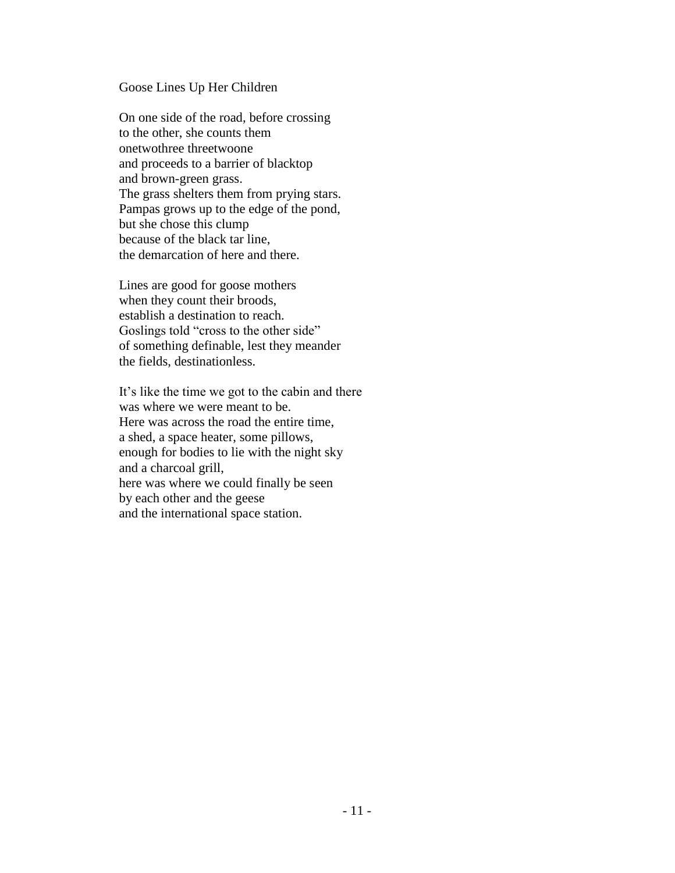#### Goose Lines Up Her Children

On one side of the road, before crossing to the other, she counts them onetwothree threetwoone and proceeds to a barrier of blacktop and brown-green grass. The grass shelters them from prying stars. Pampas grows up to the edge of the pond, but she chose this clump because of the black tar line, the demarcation of here and there.

Lines are good for goose mothers when they count their broods, establish a destination to reach. Goslings told "cross to the other side" of something definable, lest they meander the fields, destinationless.

It's like the time we got to the cabin and there was where we were meant to be. Here was across the road the entire time, a shed, a space heater, some pillows, enough for bodies to lie with the night sky and a charcoal grill, here was where we could finally be seen by each other and the geese and the international space station.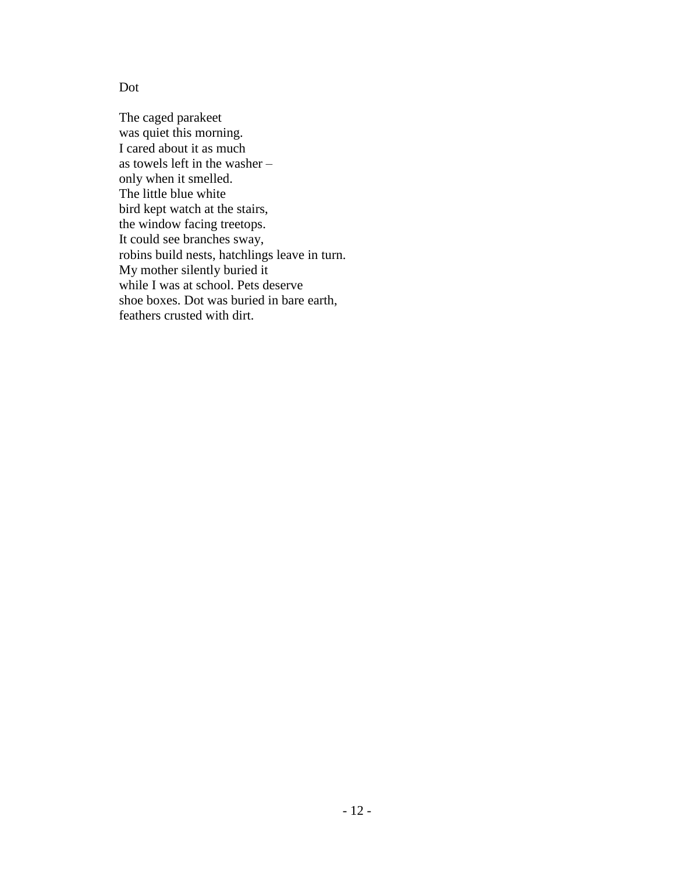Dot

The caged parakeet was quiet this morning. I cared about it as much as towels left in the washer – only when it smelled. The little blue white bird kept watch at the stairs, the window facing treetops. It could see branches sway, robins build nests, hatchlings leave in turn. My mother silently buried it while I was at school. Pets deserve shoe boxes. Dot was buried in bare earth, feathers crusted with dirt.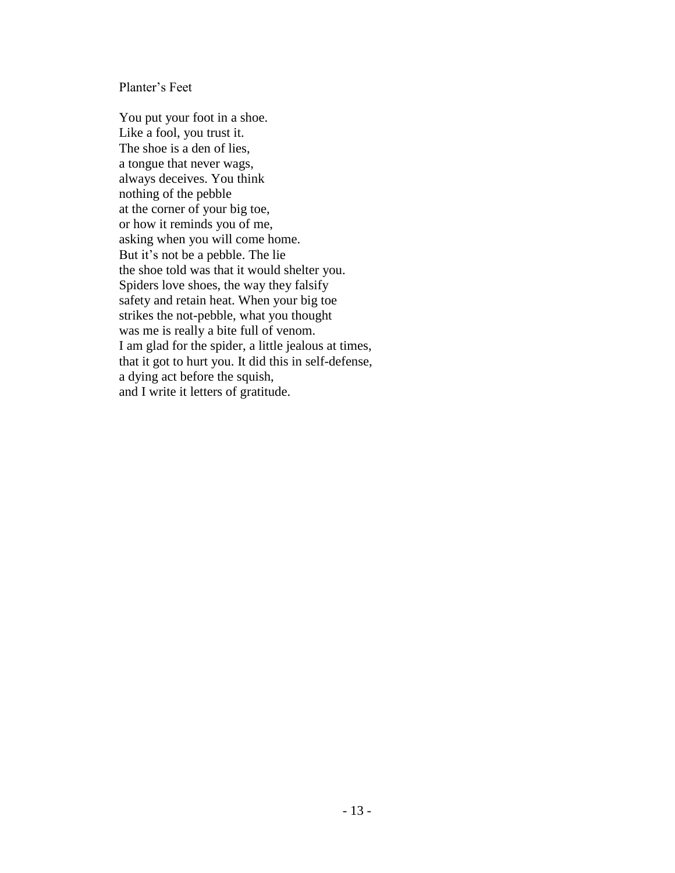Planter's Feet

You put your foot in a shoe. Like a fool, you trust it. The shoe is a den of lies, a tongue that never wags, always deceives. You think nothing of the pebble at the corner of your big toe, or how it reminds you of me, asking when you will come home. But it's not be a pebble. The lie the shoe told was that it would shelter you. Spiders love shoes, the way they falsify safety and retain heat. When your big toe strikes the not-pebble, what you thought was me is really a bite full of venom. I am glad for the spider, a little jealous at times, that it got to hurt you. It did this in self-defense, a dying act before the squish, and I write it letters of gratitude.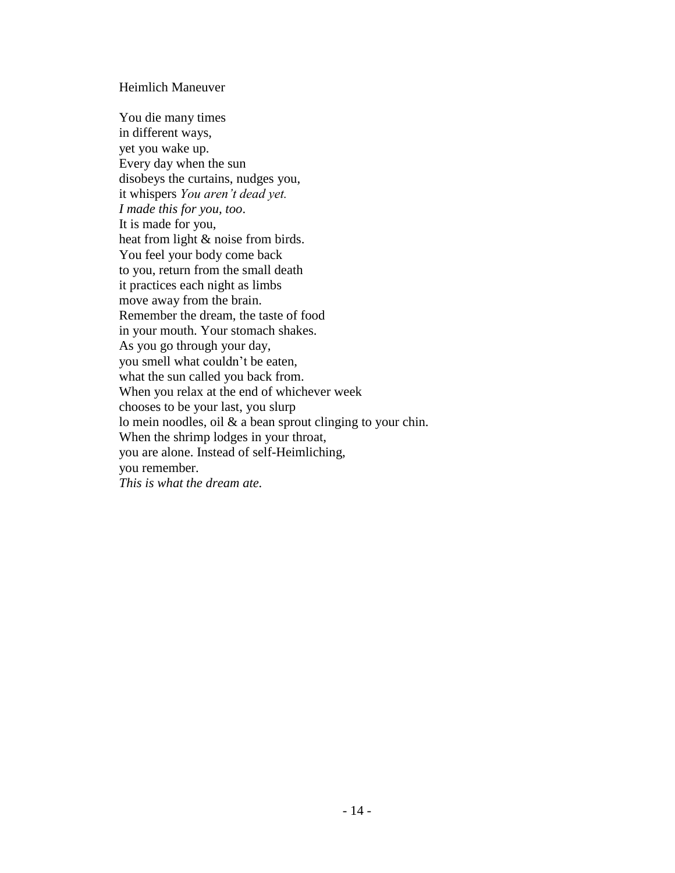### Heimlich Maneuver

You die many times in different ways, yet you wake up. Every day when the sun disobeys the curtains, nudges you, it whispers *You aren't dead yet. I made this for you, too*. It is made for you, heat from light & noise from birds. You feel your body come back to you, return from the small death it practices each night as limbs move away from the brain. Remember the dream, the taste of food in your mouth. Your stomach shakes. As you go through your day, you smell what couldn't be eaten, what the sun called you back from. When you relax at the end of whichever week chooses to be your last, you slurp lo mein noodles, oil & a bean sprout clinging to your chin. When the shrimp lodges in your throat, you are alone. Instead of self-Heimliching, you remember. *This is what the dream ate.*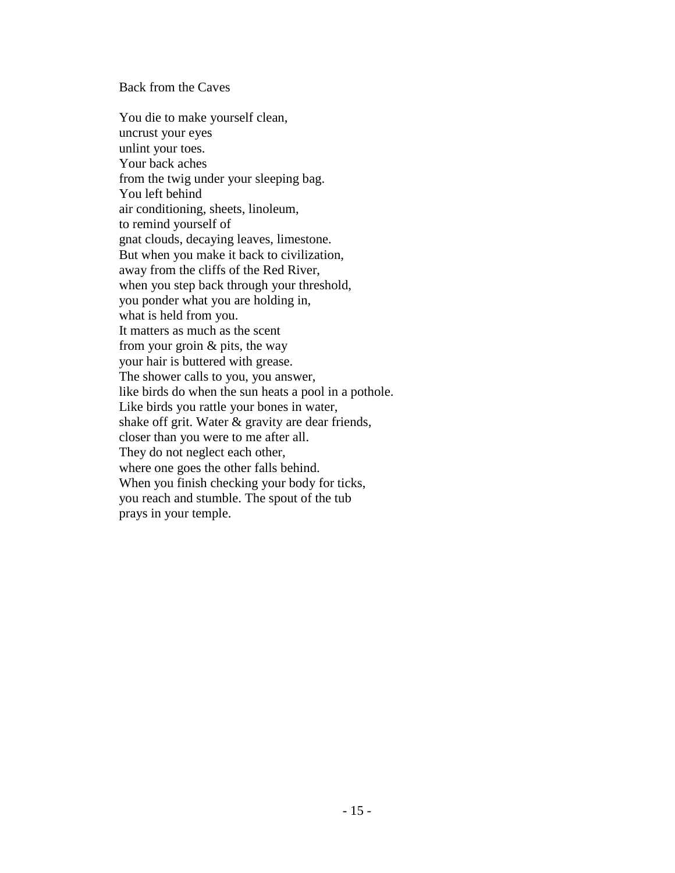#### Back from the Caves

You die to make yourself clean, uncrust your eyes unlint your toes. Your back aches from the twig under your sleeping bag. You left behind air conditioning, sheets, linoleum, to remind yourself of gnat clouds, decaying leaves, limestone. But when you make it back to civilization, away from the cliffs of the Red River, when you step back through your threshold, you ponder what you are holding in, what is held from you. It matters as much as the scent from your groin & pits, the way your hair is buttered with grease. The shower calls to you, you answer, like birds do when the sun heats a pool in a pothole. Like birds you rattle your bones in water, shake off grit. Water & gravity are dear friends, closer than you were to me after all. They do not neglect each other, where one goes the other falls behind. When you finish checking your body for ticks, you reach and stumble. The spout of the tub prays in your temple.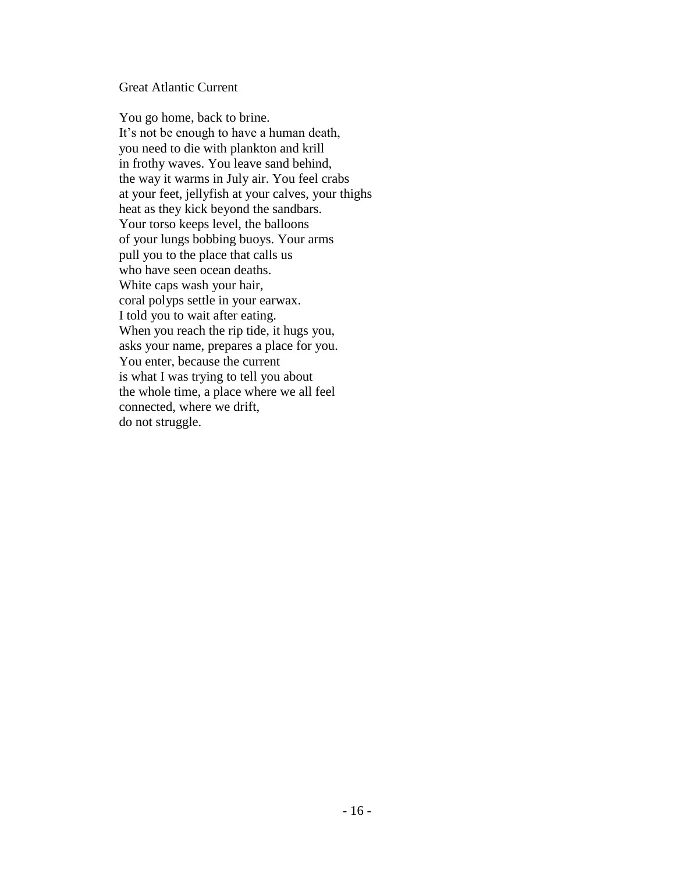#### Great Atlantic Current

You go home, back to brine. It's not be enough to have a human death, you need to die with plankton and krill in frothy waves. You leave sand behind, the way it warms in July air. You feel crabs at your feet, jellyfish at your calves, your thighs heat as they kick beyond the sandbars. Your torso keeps level, the balloons of your lungs bobbing buoys. Your arms pull you to the place that calls us who have seen ocean deaths. White caps wash your hair, coral polyps settle in your earwax. I told you to wait after eating. When you reach the rip tide, it hugs you, asks your name, prepares a place for you. You enter, because the current is what I was trying to tell you about the whole time, a place where we all feel connected, where we drift, do not struggle.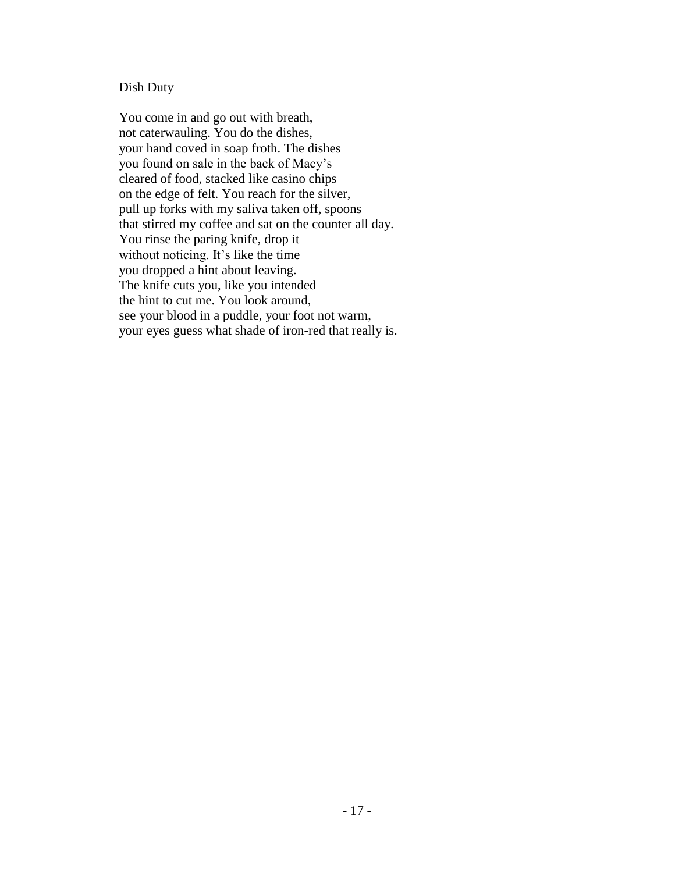## Dish Duty

You come in and go out with breath, not caterwauling. You do the dishes, your hand coved in soap froth. The dishes you found on sale in the back of Macy's cleared of food, stacked like casino chips on the edge of felt. You reach for the silver, pull up forks with my saliva taken off, spoons that stirred my coffee and sat on the counter all day. You rinse the paring knife, drop it without noticing. It's like the time you dropped a hint about leaving. The knife cuts you, like you intended the hint to cut me. You look around, see your blood in a puddle, your foot not warm, your eyes guess what shade of iron-red that really is.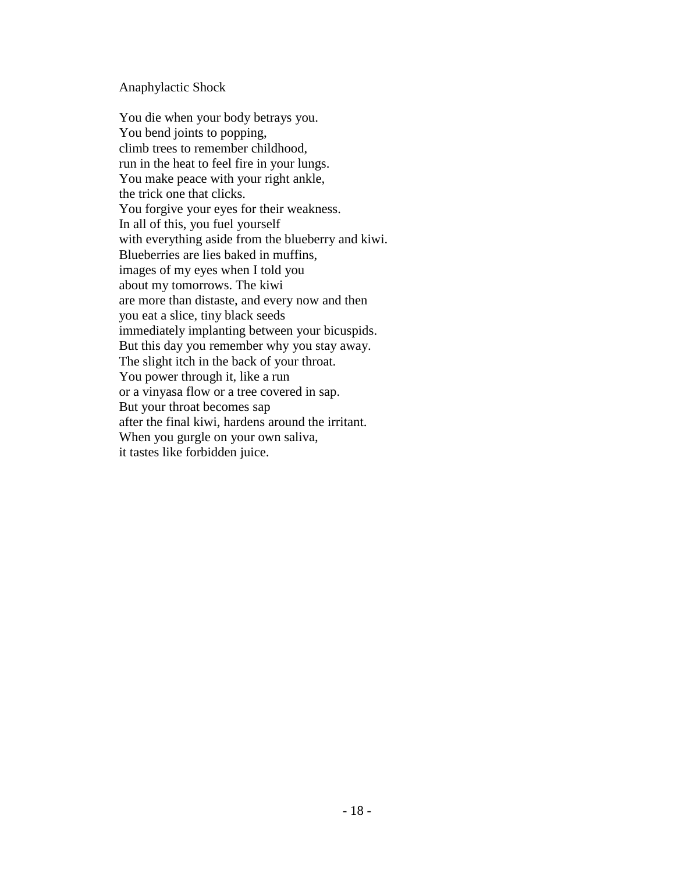#### Anaphylactic Shock

You die when your body betrays you. You bend joints to popping, climb trees to remember childhood, run in the heat to feel fire in your lungs. You make peace with your right ankle, the trick one that clicks. You forgive your eyes for their weakness. In all of this, you fuel yourself with everything aside from the blueberry and kiwi. Blueberries are lies baked in muffins, images of my eyes when I told you about my tomorrows. The kiwi are more than distaste, and every now and then you eat a slice, tiny black seeds immediately implanting between your bicuspids. But this day you remember why you stay away. The slight itch in the back of your throat. You power through it, like a run or a vinyasa flow or a tree covered in sap. But your throat becomes sap after the final kiwi, hardens around the irritant. When you gurgle on your own saliva, it tastes like forbidden juice.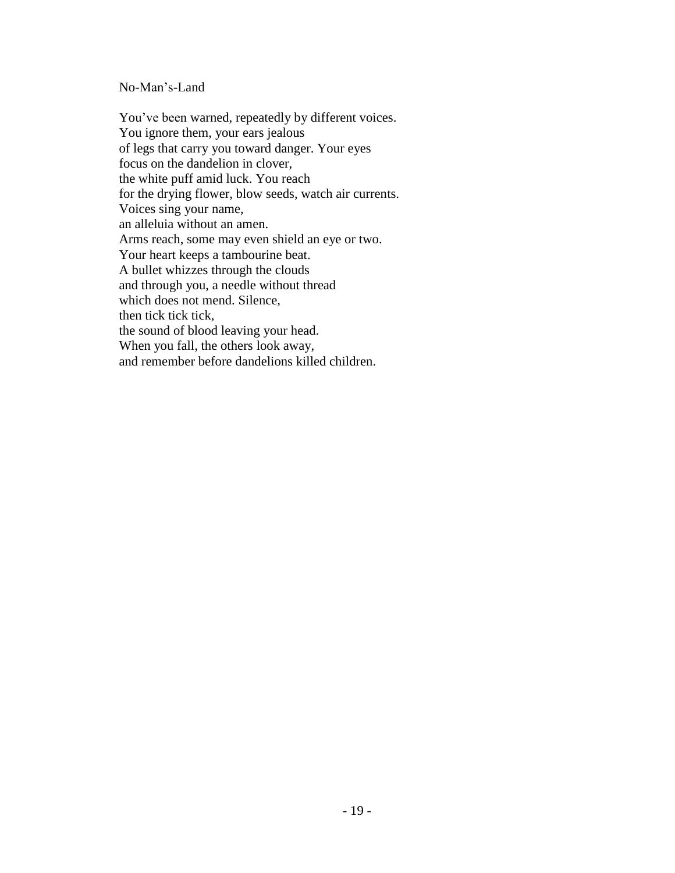## No-Man's-Land

You've been warned, repeatedly by different voices. You ignore them, your ears jealous of legs that carry you toward danger. Your eyes focus on the dandelion in clover, the white puff amid luck. You reach for the drying flower, blow seeds, watch air currents. Voices sing your name, an alleluia without an amen. Arms reach, some may even shield an eye or two. Your heart keeps a tambourine beat. A bullet whizzes through the clouds and through you, a needle without thread which does not mend. Silence, then tick tick tick, the sound of blood leaving your head. When you fall, the others look away, and remember before dandelions killed children.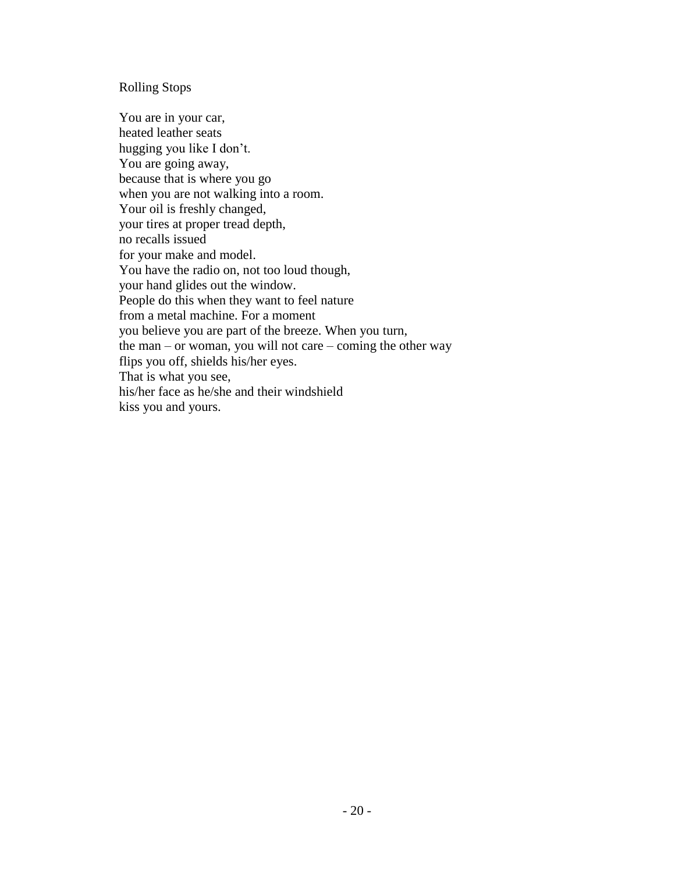#### Rolling Stops

You are in your car, heated leather seats hugging you like I don't. You are going away, because that is where you go when you are not walking into a room. Your oil is freshly changed, your tires at proper tread depth, no recalls issued for your make and model. You have the radio on, not too loud though, your hand glides out the window. People do this when they want to feel nature from a metal machine. For a moment you believe you are part of the breeze. When you turn, the man – or woman, you will not care – coming the other way flips you off, shields his/her eyes. That is what you see, his/her face as he/she and their windshield kiss you and yours.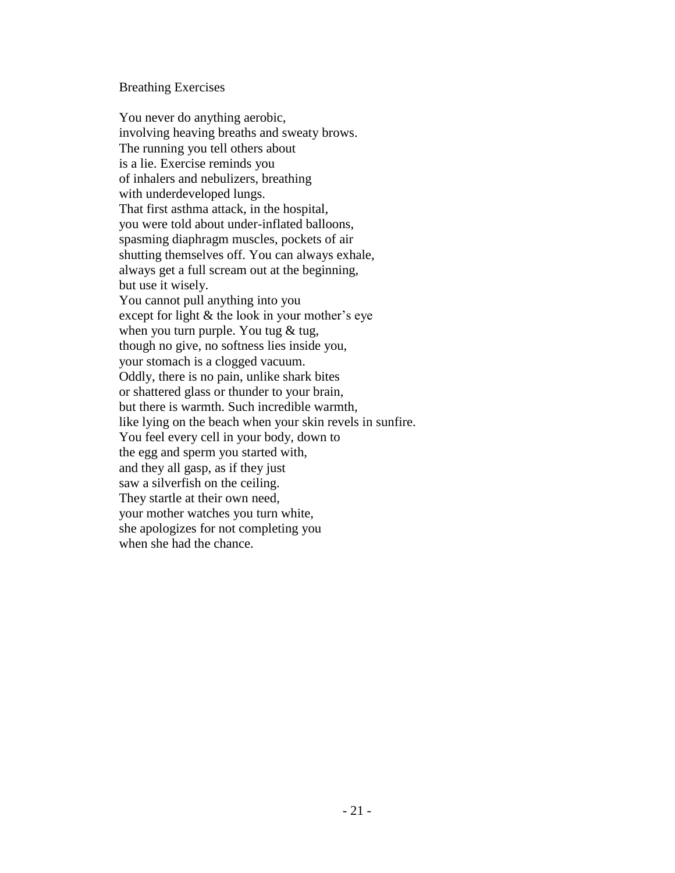#### Breathing Exercises

You never do anything aerobic, involving heaving breaths and sweaty brows. The running you tell others about is a lie. Exercise reminds you of inhalers and nebulizers, breathing with underdeveloped lungs. That first asthma attack, in the hospital, you were told about under-inflated balloons, spasming diaphragm muscles, pockets of air shutting themselves off. You can always exhale, always get a full scream out at the beginning, but use it wisely. You cannot pull anything into you except for light & the look in your mother's eye when you turn purple. You tug  $&$  tug, though no give, no softness lies inside you, your stomach is a clogged vacuum. Oddly, there is no pain, unlike shark bites or shattered glass or thunder to your brain, but there is warmth. Such incredible warmth, like lying on the beach when your skin revels in sunfire. You feel every cell in your body, down to the egg and sperm you started with, and they all gasp, as if they just saw a silverfish on the ceiling. They startle at their own need, your mother watches you turn white, she apologizes for not completing you when she had the chance.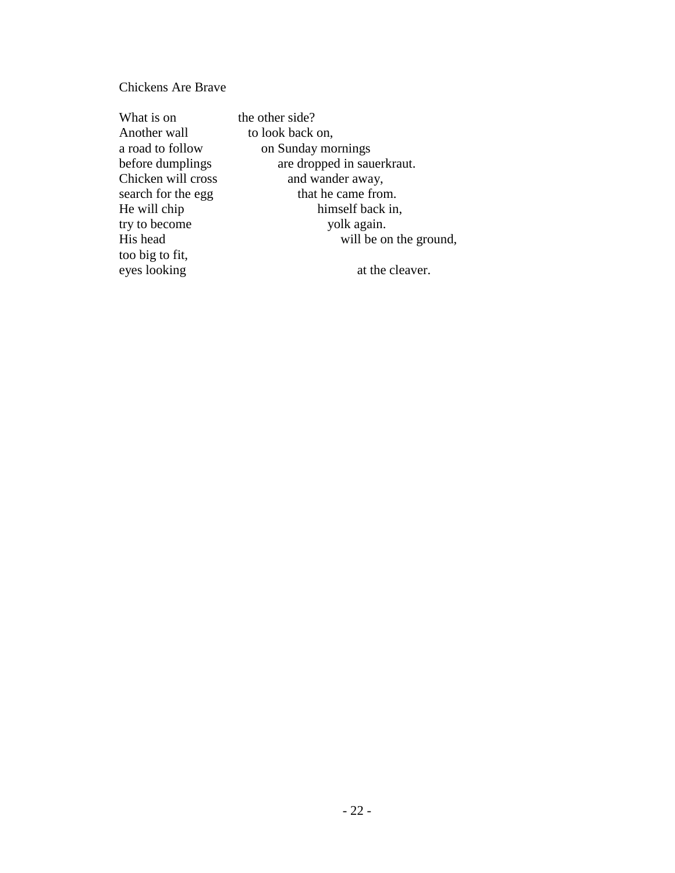# Chickens Are Brave

| What is on         | the other side?            |
|--------------------|----------------------------|
| Another wall       | to look back on,           |
| a road to follow   | on Sunday mornings         |
| before dumplings   | are dropped in sauerkraut. |
| Chicken will cross | and wander away,           |
| search for the egg | that he came from.         |
| He will chip       | himself back in,           |
| try to become      | yolk again.                |
| His head           | will be on the gro         |
| too big to fit,    |                            |
| eyes looking       | at the cleaver.            |
|                    |                            |

he other side? to look back on, on Sunday mornings are dropped in sauerkraut. and wander away, that he came from. himself back in, yolk again. will be on the ground,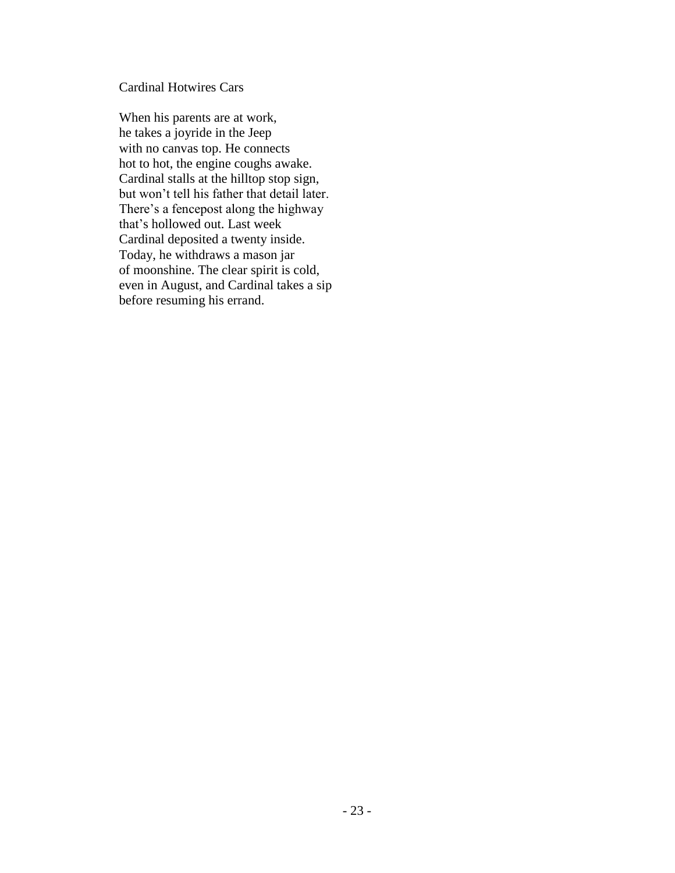Cardinal Hotwires Cars

When his parents are at work, he takes a joyride in the Jeep with no canvas top. He connects hot to hot, the engine coughs awake. Cardinal stalls at the hilltop stop sign, but won't tell his father that detail later. There's a fencepost along the highway that's hollowed out. Last week Cardinal deposited a twenty inside. Today, he withdraws a mason jar of moonshine. The clear spirit is cold, even in August, and Cardinal takes a sip before resuming his errand.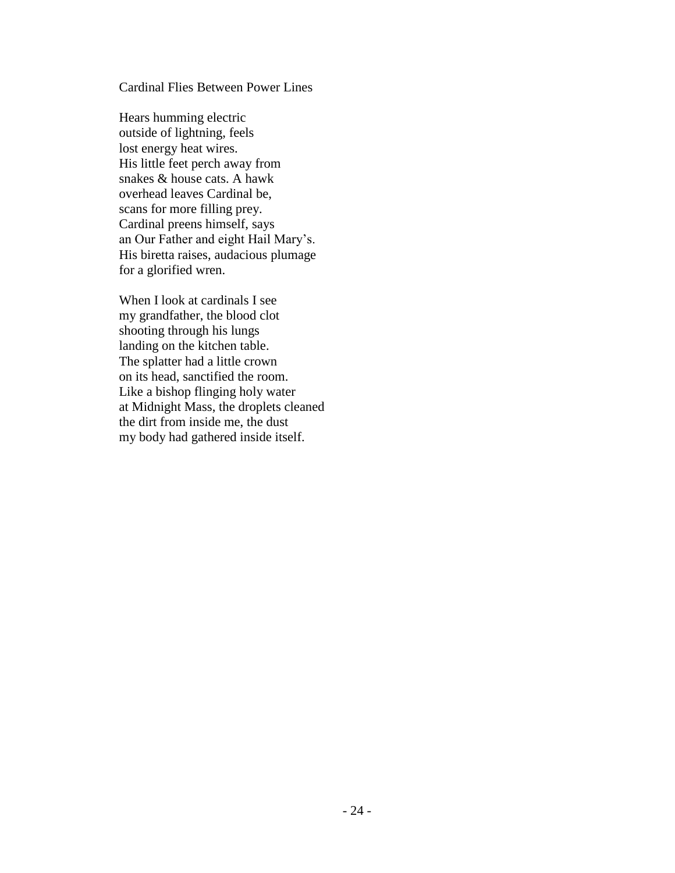## Cardinal Flies Between Power Lines

Hears humming electric outside of lightning, feels lost energy heat wires. His little feet perch away from snakes & house cats. A hawk overhead leaves Cardinal be, scans for more filling prey. Cardinal preens himself, says an Our Father and eight Hail Mary's. His biretta raises, audacious plumage for a glorified wren.

When I look at cardinals I see my grandfather, the blood clot shooting through his lungs landing on the kitchen table. The splatter had a little crown on its head, sanctified the room. Like a bishop flinging holy water at Midnight Mass, the droplets cleaned the dirt from inside me, the dust my body had gathered inside itself.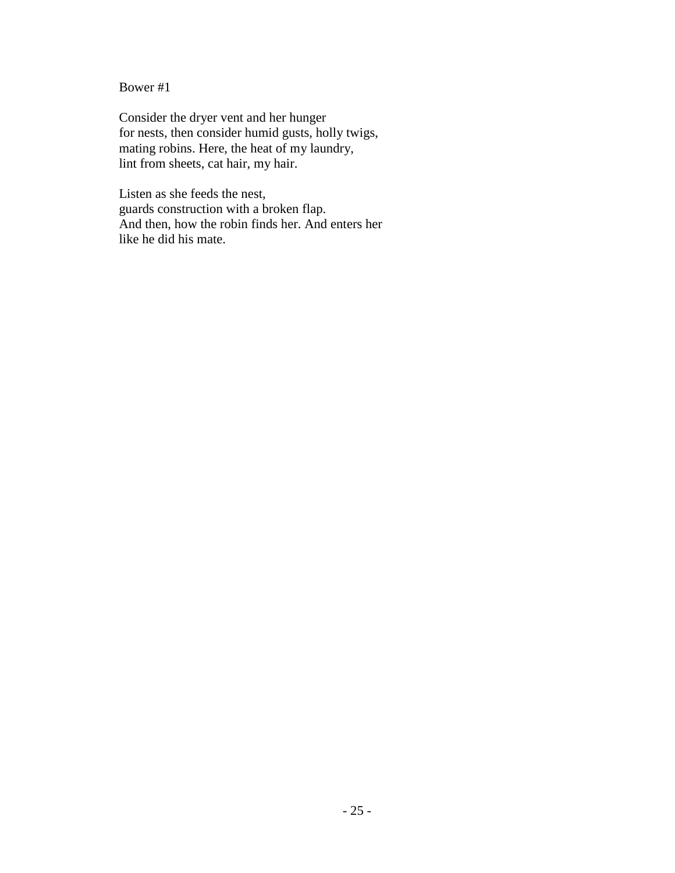# Bower #1

Consider the dryer vent and her hunger for nests, then consider humid gusts, holly twigs, mating robins. Here, the heat of my laundry, lint from sheets, cat hair, my hair.

Listen as she feeds the nest, guards construction with a broken flap. And then, how the robin finds her. And enters her like he did his mate.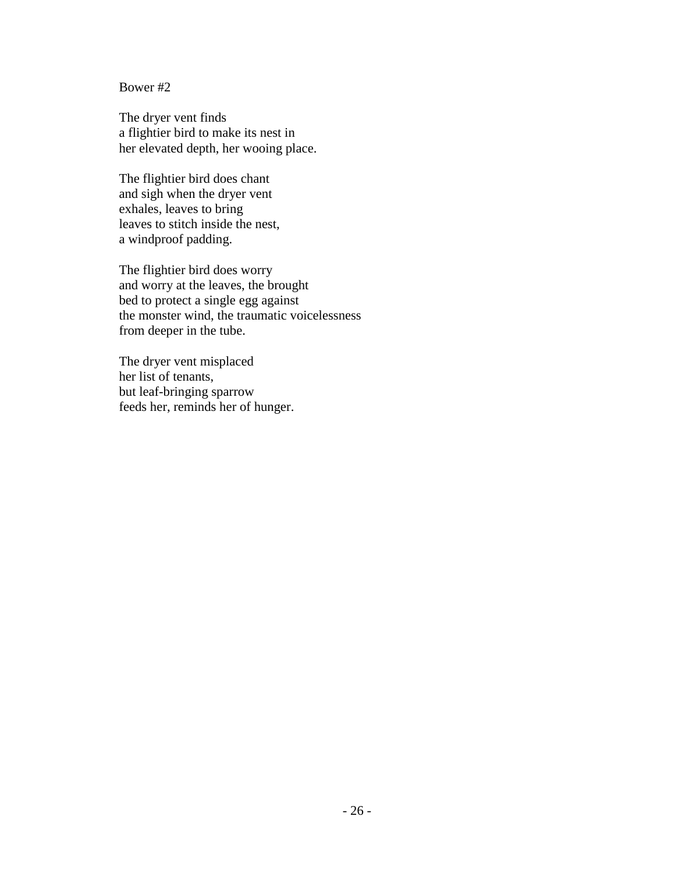## Bower #2

The dryer vent finds a flightier bird to make its nest in her elevated depth, her wooing place.

The flightier bird does chant and sigh when the dryer vent exhales, leaves to bring leaves to stitch inside the nest, a windproof padding.

The flightier bird does worry and worry at the leaves, the brought bed to protect a single egg against the monster wind, the traumatic voicelessness from deeper in the tube.

The dryer vent misplaced her list of tenants, but leaf-bringing sparrow feeds her, reminds her of hunger.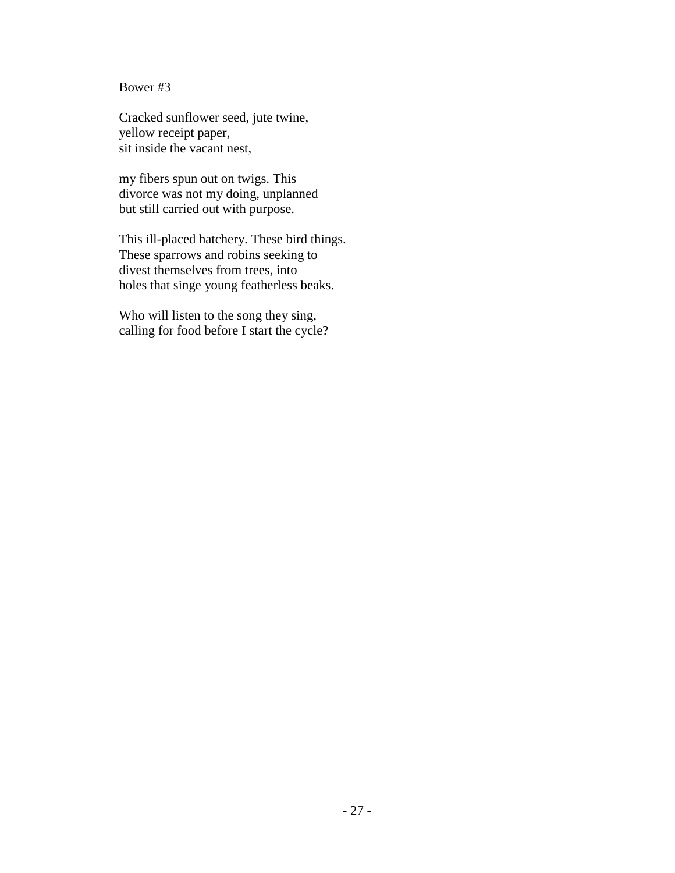Bower #3

Cracked sunflower seed, jute twine, yellow receipt paper, sit inside the vacant nest,

my fibers spun out on twigs. This divorce was not my doing, unplanned but still carried out with purpose.

This ill-placed hatchery. These bird things. These sparrows and robins seeking to divest themselves from trees, into holes that singe young featherless beaks.

Who will listen to the song they sing, calling for food before I start the cycle?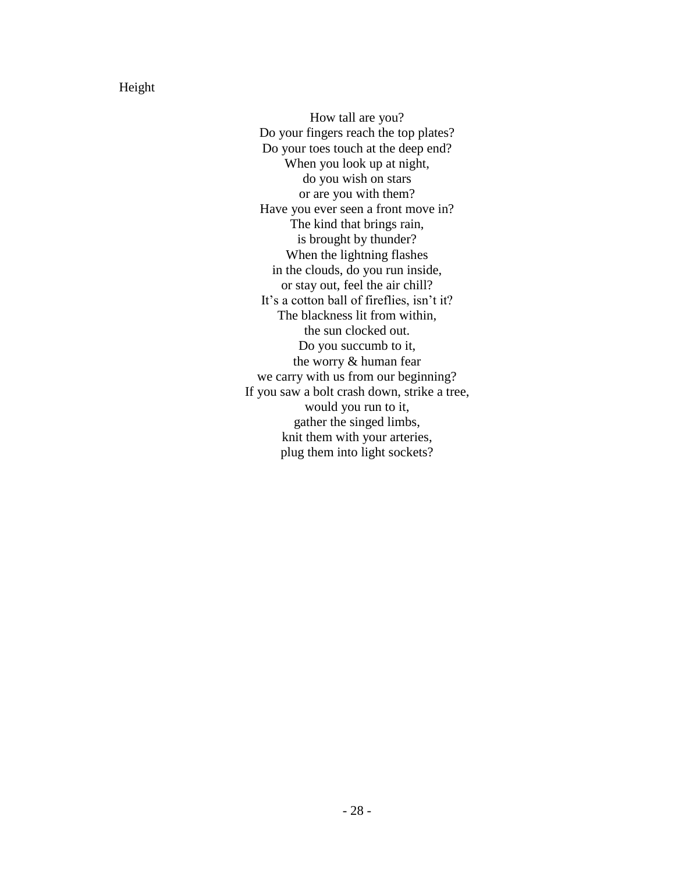Height

How tall are you? Do your fingers reach the top plates? Do your toes touch at the deep end? When you look up at night, do you wish on stars or are you with them? Have you ever seen a front move in? The kind that brings rain, is brought by thunder? When the lightning flashes in the clouds, do you run inside, or stay out, feel the air chill? It's a cotton ball of fireflies, isn't it? The blackness lit from within, the sun clocked out. Do you succumb to it, the worry & human fear we carry with us from our beginning? If you saw a bolt crash down, strike a tree, would you run to it, gather the singed limbs, knit them with your arteries, plug them into light sockets?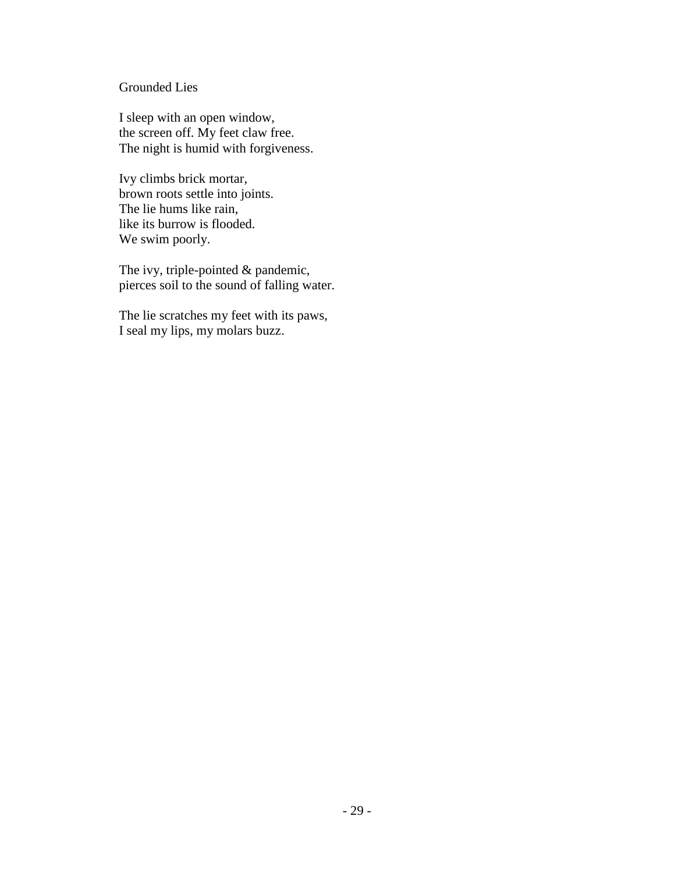# Grounded Lies

I sleep with an open window, the screen off. My feet claw free. The night is humid with forgiveness.

Ivy climbs brick mortar, brown roots settle into joints. The lie hums like rain, like its burrow is flooded. We swim poorly.

The ivy, triple-pointed & pandemic, pierces soil to the sound of falling water.

The lie scratches my feet with its paws, I seal my lips, my molars buzz.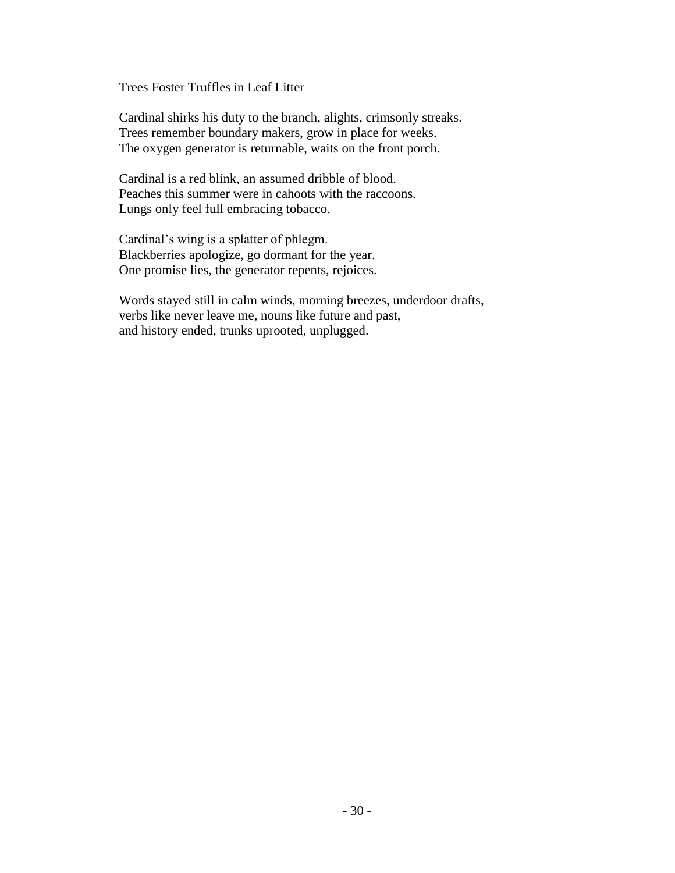Trees Foster Truffles in Leaf Litter

Cardinal shirks his duty to the branch, alights, crimsonly streaks. Trees remember boundary makers, grow in place for weeks. The oxygen generator is returnable, waits on the front porch.

Cardinal is a red blink, an assumed dribble of blood. Peaches this summer were in cahoots with the raccoons. Lungs only feel full embracing tobacco.

Cardinal's wing is a splatter of phlegm. Blackberries apologize, go dormant for the year. One promise lies, the generator repents, rejoices.

Words stayed still in calm winds, morning breezes, underdoor drafts, verbs like never leave me, nouns like future and past, and history ended, trunks uprooted, unplugged.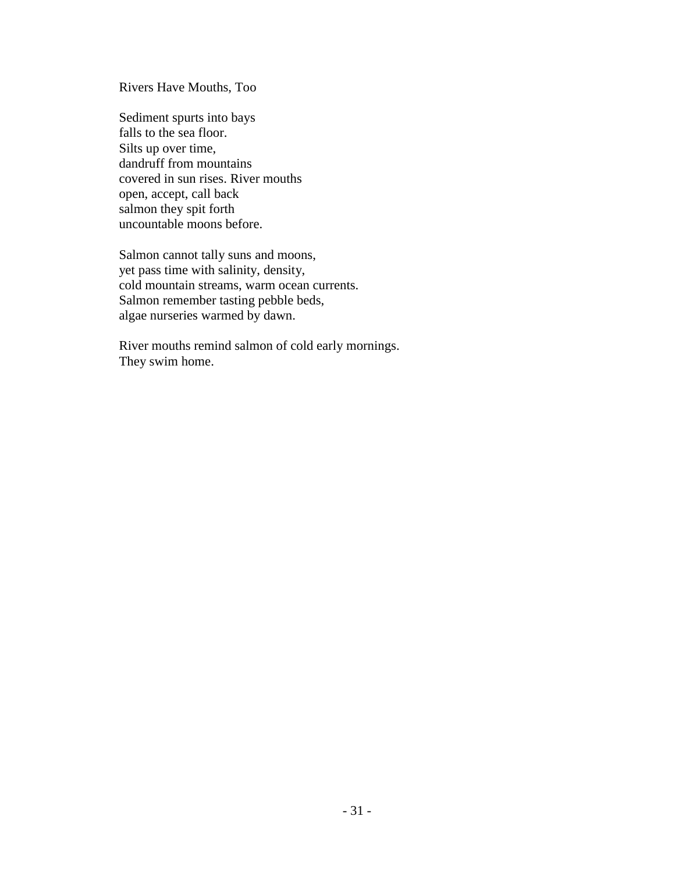Rivers Have Mouths, Too

Sediment spurts into bays falls to the sea floor. Silts up over time, dandruff from mountains covered in sun rises. River mouths open, accept, call back salmon they spit forth uncountable moons before.

Salmon cannot tally suns and moons, yet pass time with salinity, density, cold mountain streams, warm ocean currents. Salmon remember tasting pebble beds, algae nurseries warmed by dawn.

River mouths remind salmon of cold early mornings. They swim home.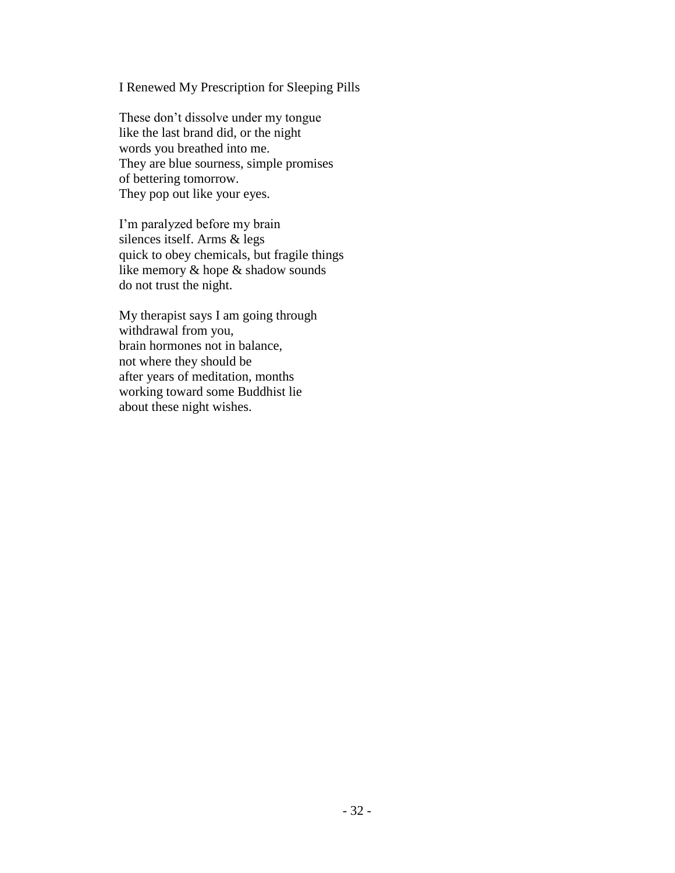# I Renewed My Prescription for Sleeping Pills

These don't dissolve under my tongue like the last brand did, or the night words you breathed into me. They are blue sourness, simple promises of bettering tomorrow. They pop out like your eyes.

I'm paralyzed before my brain silences itself. Arms & legs quick to obey chemicals, but fragile things like memory & hope & shadow sounds do not trust the night.

My therapist says I am going through withdrawal from you, brain hormones not in balance, not where they should be after years of meditation, months working toward some Buddhist lie about these night wishes.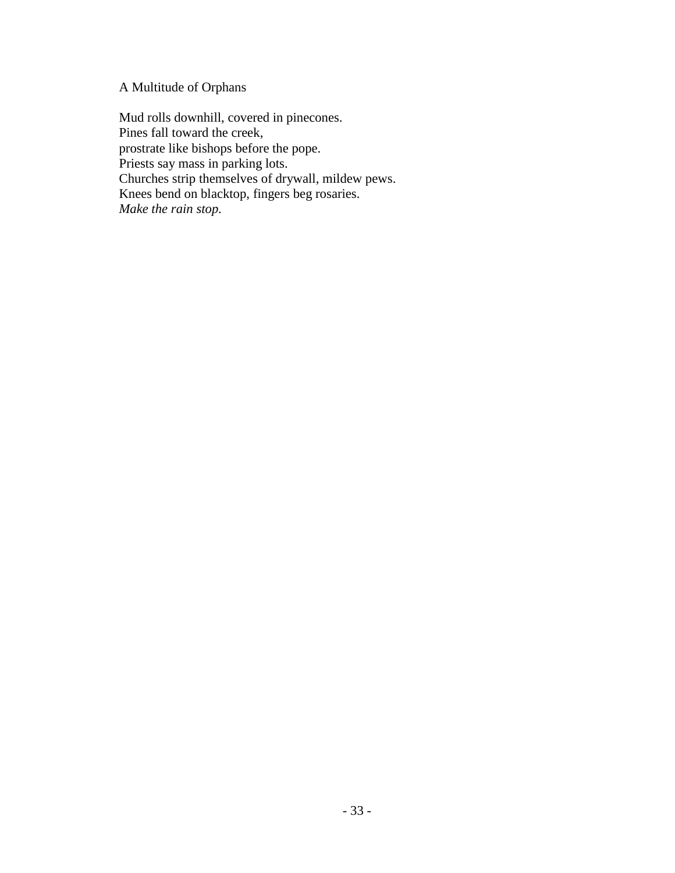# A Multitude of Orphans

Mud rolls downhill, covered in pinecones. Pines fall toward the creek, prostrate like bishops before the pope. Priests say mass in parking lots. Churches strip themselves of drywall, mildew pews. Knees bend on blacktop, fingers beg rosaries. *Make the rain stop.*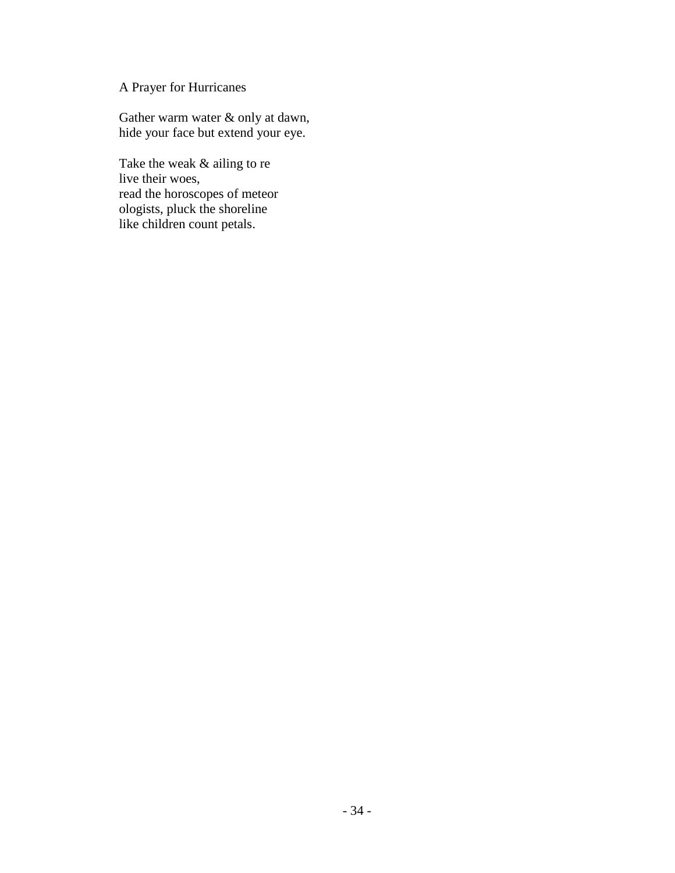# A Prayer for Hurricanes

Gather warm water & only at dawn, hide your face but extend your eye.

Take the weak & ailing to re live their woes, read the horoscopes of meteor ologists, pluck the shoreline like children count petals.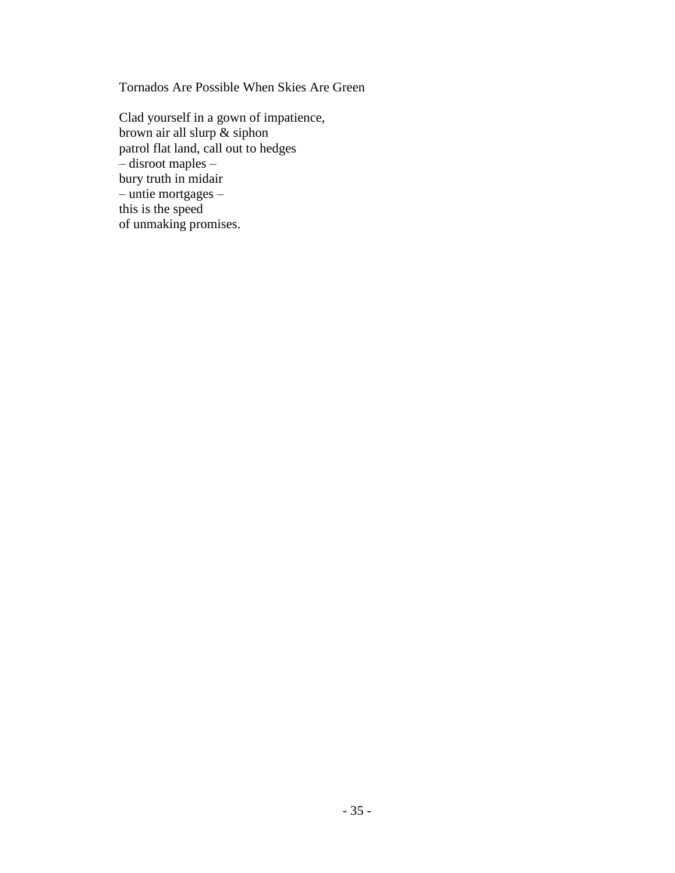Tornados Are Possible When Skies Are Green

Clad yourself in a gown of impatience, brown air all slurp & siphon patrol flat land, call out to hedges – disroot maples – bury truth in midair – untie mortgages – this is the speed of unmaking promises.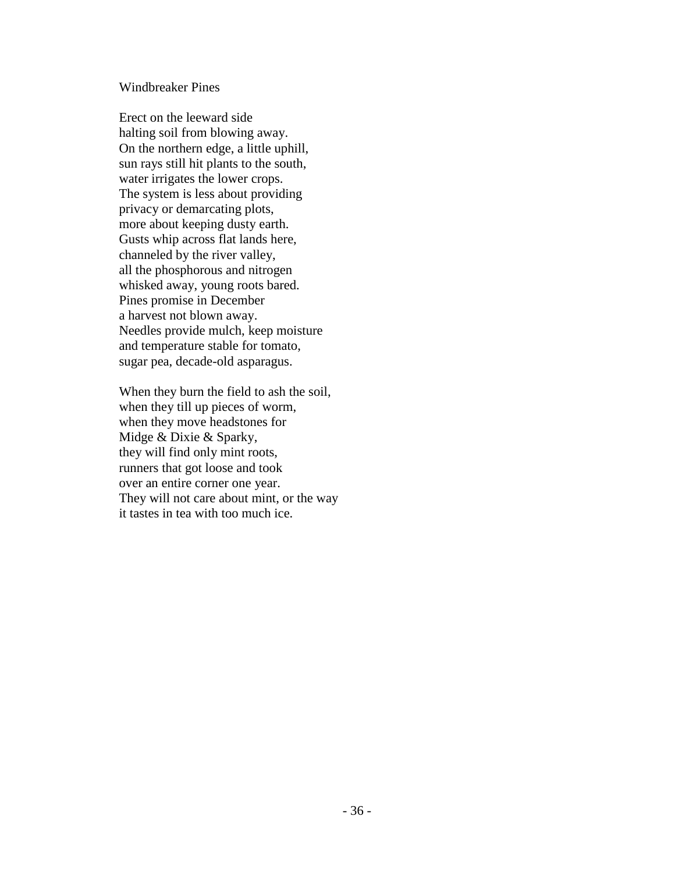## Windbreaker Pines

Erect on the leeward side halting soil from blowing away. On the northern edge, a little uphill, sun rays still hit plants to the south, water irrigates the lower crops. The system is less about providing privacy or demarcating plots, more about keeping dusty earth. Gusts whip across flat lands here, channeled by the river valley, all the phosphorous and nitrogen whisked away, young roots bared. Pines promise in December a harvest not blown away. Needles provide mulch, keep moisture and temperature stable for tomato, sugar pea, decade-old asparagus.

When they burn the field to ash the soil, when they till up pieces of worm, when they move headstones for Midge & Dixie & Sparky, they will find only mint roots, runners that got loose and took over an entire corner one year. They will not care about mint, or the way it tastes in tea with too much ice.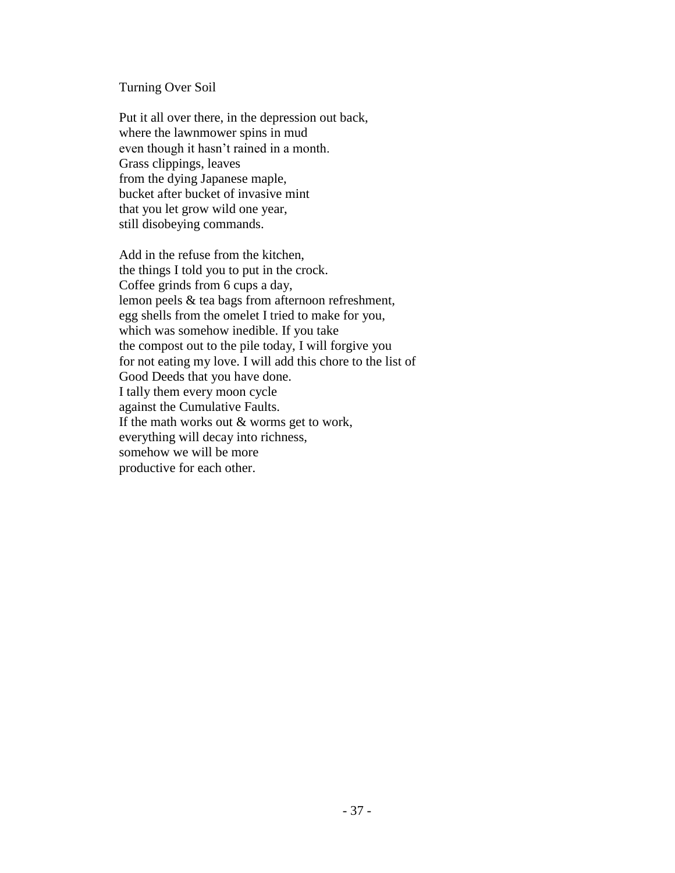#### Turning Over Soil

Put it all over there, in the depression out back, where the lawnmower spins in mud even though it hasn't rained in a month. Grass clippings, leaves from the dying Japanese maple, bucket after bucket of invasive mint that you let grow wild one year, still disobeying commands.

Add in the refuse from the kitchen, the things I told you to put in the crock. Coffee grinds from 6 cups a day, lemon peels & tea bags from afternoon refreshment, egg shells from the omelet I tried to make for you, which was somehow inedible. If you take the compost out to the pile today, I will forgive you for not eating my love. I will add this chore to the list of Good Deeds that you have done. I tally them every moon cycle against the Cumulative Faults. If the math works out & worms get to work, everything will decay into richness, somehow we will be more productive for each other.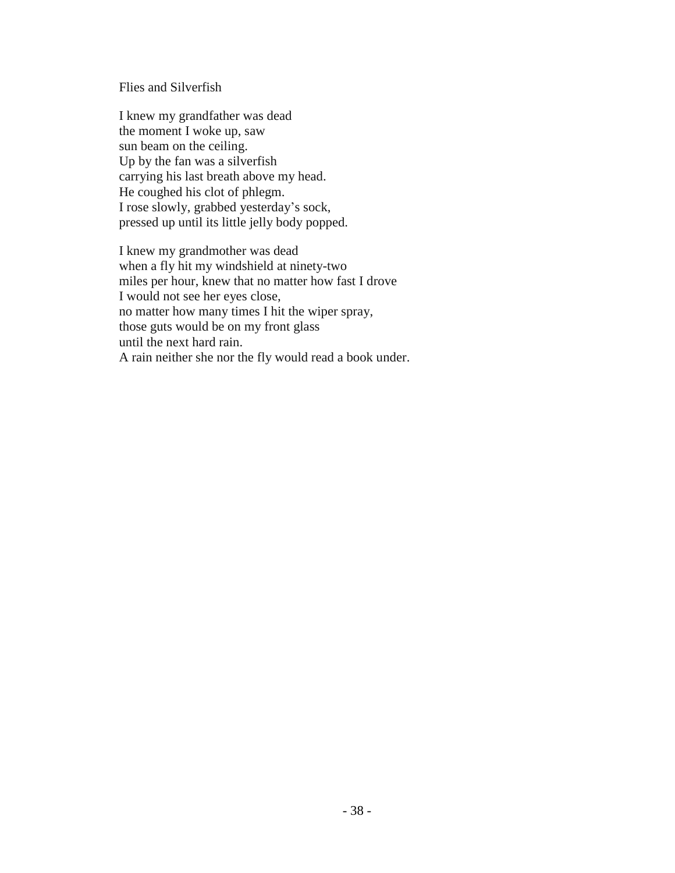## Flies and Silverfish

I knew my grandfather was dead the moment I woke up, saw sun beam on the ceiling. Up by the fan was a silverfish carrying his last breath above my head. He coughed his clot of phlegm. I rose slowly, grabbed yesterday's sock, pressed up until its little jelly body popped.

I knew my grandmother was dead when a fly hit my windshield at ninety-two miles per hour, knew that no matter how fast I drove I would not see her eyes close, no matter how many times I hit the wiper spray, those guts would be on my front glass until the next hard rain. A rain neither she nor the fly would read a book under.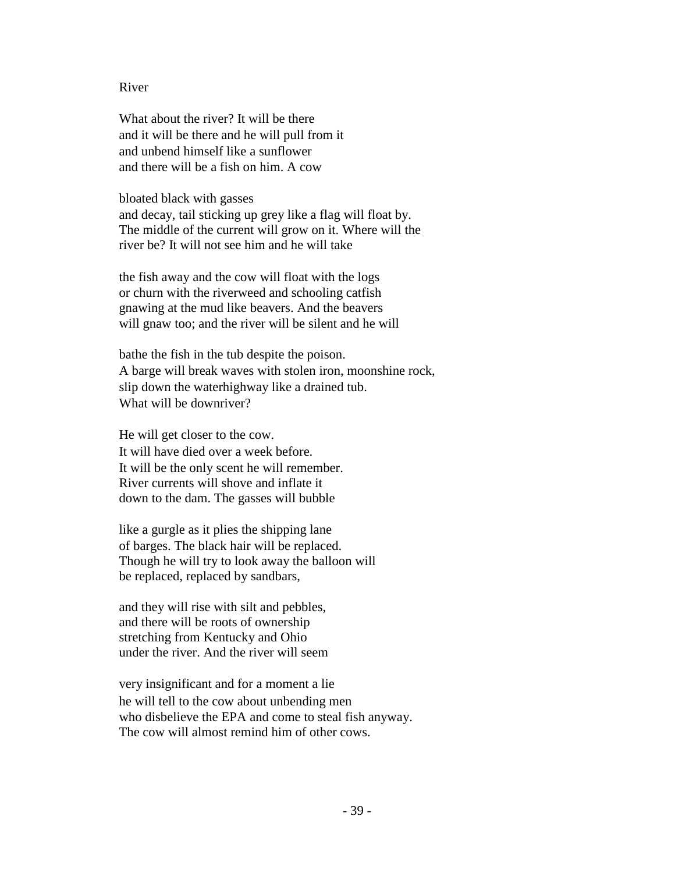#### River

What about the river? It will be there and it will be there and he will pull from it and unbend himself like a sunflower and there will be a fish on him. A cow

bloated black with gasses and decay, tail sticking up grey like a flag will float by. The middle of the current will grow on it. Where will the river be? It will not see him and he will take

the fish away and the cow will float with the logs or churn with the riverweed and schooling catfish gnawing at the mud like beavers. And the beavers will gnaw too; and the river will be silent and he will

bathe the fish in the tub despite the poison. A barge will break waves with stolen iron, moonshine rock, slip down the waterhighway like a drained tub. What will be downriver?

He will get closer to the cow. It will have died over a week before. It will be the only scent he will remember. River currents will shove and inflate it down to the dam. The gasses will bubble

like a gurgle as it plies the shipping lane of barges. The black hair will be replaced. Though he will try to look away the balloon will be replaced, replaced by sandbars,

and they will rise with silt and pebbles, and there will be roots of ownership stretching from Kentucky and Ohio under the river. And the river will seem

very insignificant and for a moment a lie he will tell to the cow about unbending men who disbelieve the EPA and come to steal fish anyway. The cow will almost remind him of other cows.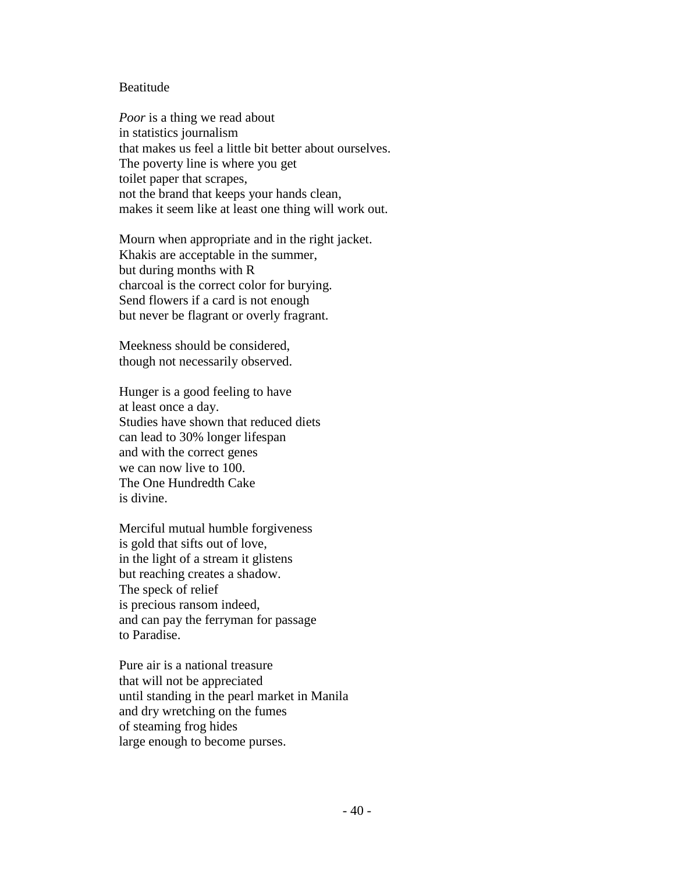#### Beatitude

*Poor* is a thing we read about in statistics journalism that makes us feel a little bit better about ourselves. The poverty line is where you get toilet paper that scrapes, not the brand that keeps your hands clean, makes it seem like at least one thing will work out.

Mourn when appropriate and in the right jacket. Khakis are acceptable in the summer, but during months with R charcoal is the correct color for burying. Send flowers if a card is not enough but never be flagrant or overly fragrant.

Meekness should be considered, though not necessarily observed.

Hunger is a good feeling to have at least once a day. Studies have shown that reduced diets can lead to 30% longer lifespan and with the correct genes we can now live to 100. The One Hundredth Cake is divine.

Merciful mutual humble forgiveness is gold that sifts out of love, in the light of a stream it glistens but reaching creates a shadow. The speck of relief is precious ransom indeed, and can pay the ferryman for passage to Paradise.

Pure air is a national treasure that will not be appreciated until standing in the pearl market in Manila and dry wretching on the fumes of steaming frog hides large enough to become purses.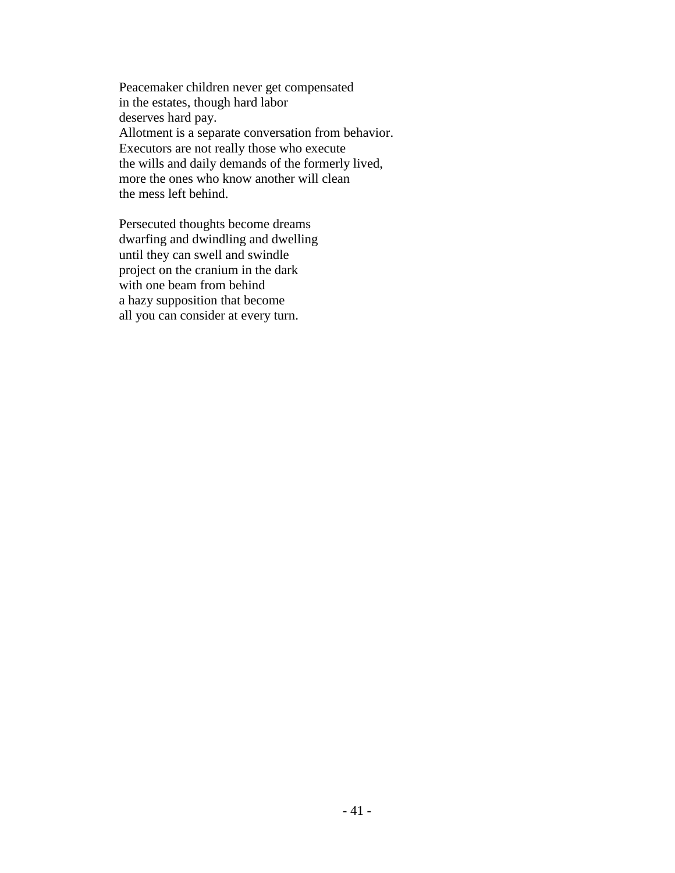Peacemaker children never get compensated in the estates, though hard labor deserves hard pay. Allotment is a separate conversation from behavior. Executors are not really those who execute the wills and daily demands of the formerly lived, more the ones who know another will clean the mess left behind.

Persecuted thoughts become dreams dwarfing and dwindling and dwelling until they can swell and swindle project on the cranium in the dark with one beam from behind a hazy supposition that become all you can consider at every turn.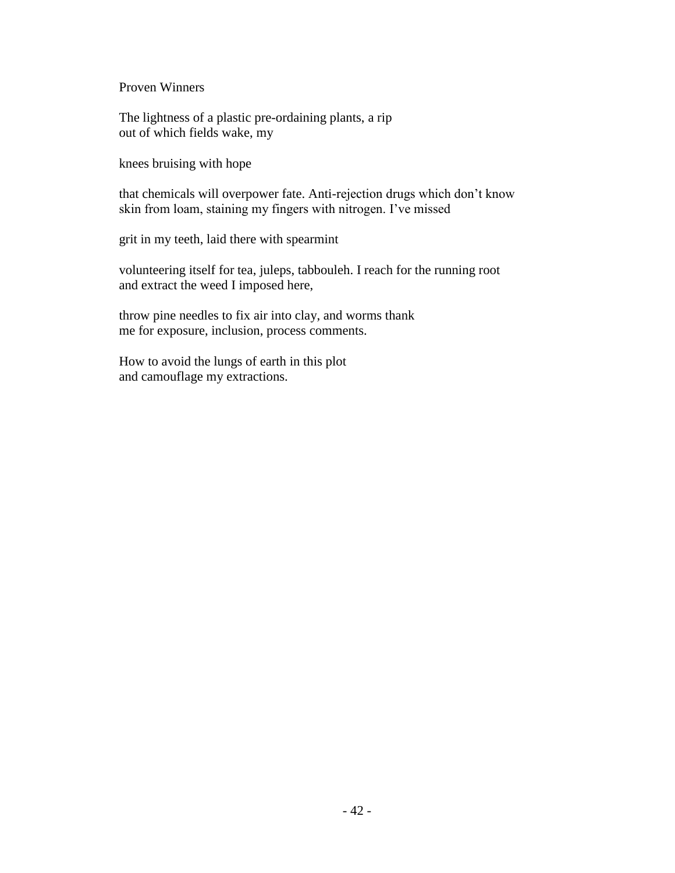Proven Winners

The lightness of a plastic pre-ordaining plants, a rip out of which fields wake, my

knees bruising with hope

that chemicals will overpower fate. Anti-rejection drugs which don't know skin from loam, staining my fingers with nitrogen. I've missed

grit in my teeth, laid there with spearmint

volunteering itself for tea, juleps, tabbouleh. I reach for the running root and extract the weed I imposed here,

throw pine needles to fix air into clay, and worms thank me for exposure, inclusion, process comments.

How to avoid the lungs of earth in this plot and camouflage my extractions.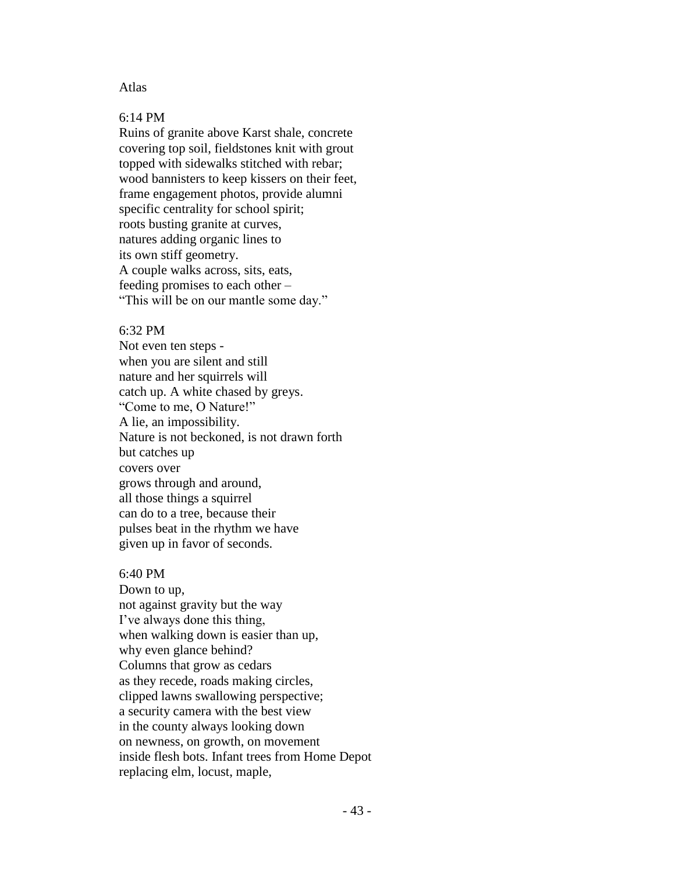### Atlas

## 6:14 PM

Ruins of granite above Karst shale, concrete covering top soil, fieldstones knit with grout topped with sidewalks stitched with rebar; wood bannisters to keep kissers on their feet, frame engagement photos, provide alumni specific centrality for school spirit; roots busting granite at curves, natures adding organic lines to its own stiff geometry. A couple walks across, sits, eats, feeding promises to each other – "This will be on our mantle some day."

#### 6:32 PM

Not even ten steps when you are silent and still nature and her squirrels will catch up. A white chased by greys. "Come to me, O Nature!" A lie, an impossibility. Nature is not beckoned, is not drawn forth but catches up covers over grows through and around, all those things a squirrel can do to a tree, because their pulses beat in the rhythm we have given up in favor of seconds.

#### 6:40 PM

Down to up, not against gravity but the way I've always done this thing, when walking down is easier than up, why even glance behind? Columns that grow as cedars as they recede, roads making circles, clipped lawns swallowing perspective; a security camera with the best view in the county always looking down on newness, on growth, on movement inside flesh bots. Infant trees from Home Depot replacing elm, locust, maple,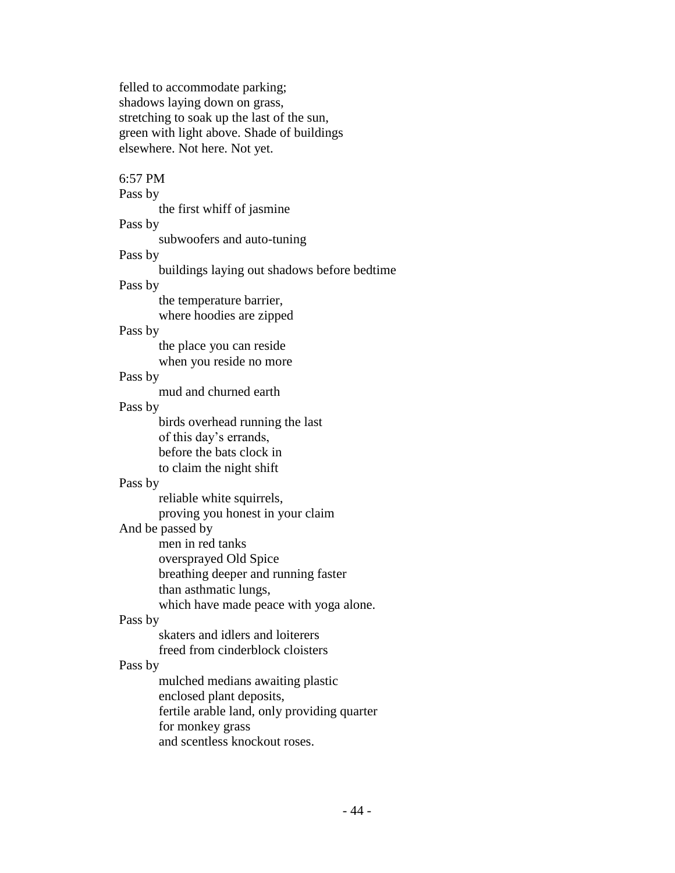felled to accommodate parking; shadows laying down on grass, stretching to soak up the last of the sun, green with light above. Shade of buildings elsewhere. Not here. Not yet.

6:57 PM Pass by the first whiff of jasmine Pass by subwoofers and auto-tuning Pass by buildings laying out shadows before bedtime Pass by the temperature barrier, where hoodies are zipped Pass by the place you can reside when you reside no more Pass by mud and churned earth Pass by birds overhead running the last of this day's errands, before the bats clock in to claim the night shift Pass by reliable white squirrels, proving you honest in your claim And be passed by men in red tanks oversprayed Old Spice breathing deeper and running faster than asthmatic lungs, which have made peace with yoga alone. Pass by skaters and idlers and loiterers freed from cinderblock cloisters Pass by mulched medians awaiting plastic enclosed plant deposits, fertile arable land, only providing quarter

for monkey grass

and scentless knockout roses.